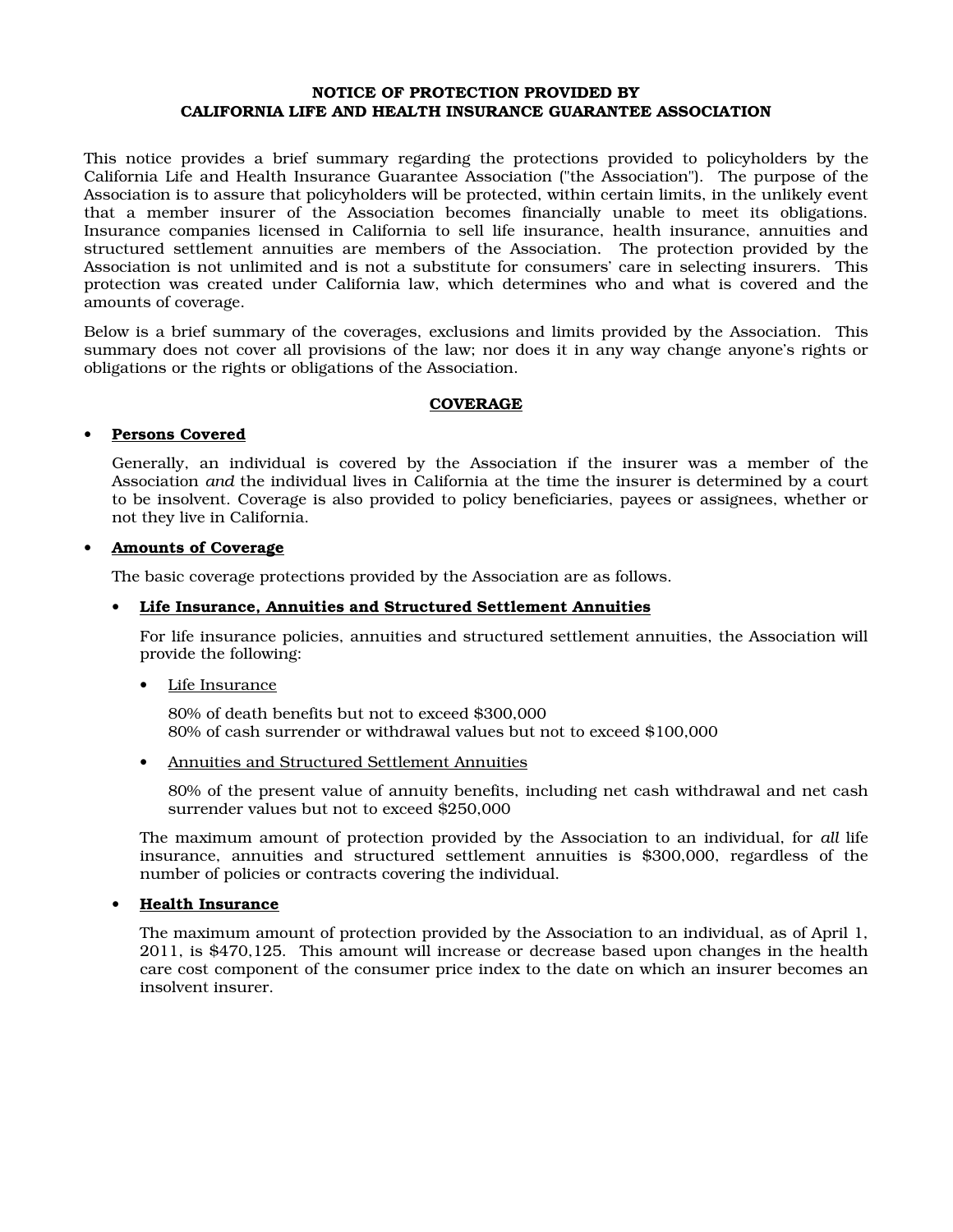#### NOTICE OF PROTECTION PROVIDED BY CALIFORNIA LIFE AND HEALTH INSURANCE GUARANTEE ASSOCIATION

This notice provides a brief summary regarding the protections provided to policyholders by the California Life and Health Insurance Guarantee Association ("the Association"). The purpose of the Association is to assure that policyholders will be protected, within certain limits, in the unlikely event that a member insurer of the Association becomes financially unable to meet its obligations. Insurance companies licensed in California to sell life insurance, health insurance, annuities and structured settlement annuities are members of the Association. The protection provided by the Association is not unlimited and is not a substitute for consumers' care in selecting insurers. This protection was created under California law, which determines who and what is covered and the amounts of coverage.

Below is a brief summary of the coverages, exclusions and limits provided by the Association. This summary does not cover all provisions of the law; nor does it in any way change anyone's rights or obligations or the rights or obligations of the Association.

#### **COVERAGE**

#### Persons Covered

Generally, an individual is covered by the Association if the insurer was a member of the Association *and* the individual lives in California at the time the insurer is determined by a court to be insolvent. Coverage is also provided to policy beneficiaries, payees or assignees, whether or not they live in California.

#### • Amounts of Coverage

The basic coverage protections provided by the Association are as follows.

#### • Life Insurance, Annuities and Structured Settlement Annuities

For life insurance policies, annuities and structured settlement annuities, the Association will provide the following:

• Life Insurance

80% of death benefits but not to exceed \$300,000 80% of cash surrender or withdrawal values but not to exceed \$100,000

• Annuities and Structured Settlement Annuities

80% of the present value of annuity benefits, including net cash withdrawal and net cash surrender values but not to exceed \$250,000

The maximum amount of protection provided by the Association to an individual, for *all* life insurance, annuities and structured settlement annuities is \$300,000, regardless of the number of policies or contracts covering the individual.

### Health Insurance

The maximum amount of protection provided by the Association to an individual, as of April 1, 2011, is \$470,125. This amount will increase or decrease based upon changes in the health care cost component of the consumer price index to the date on which an insurer becomes an insolvent insurer.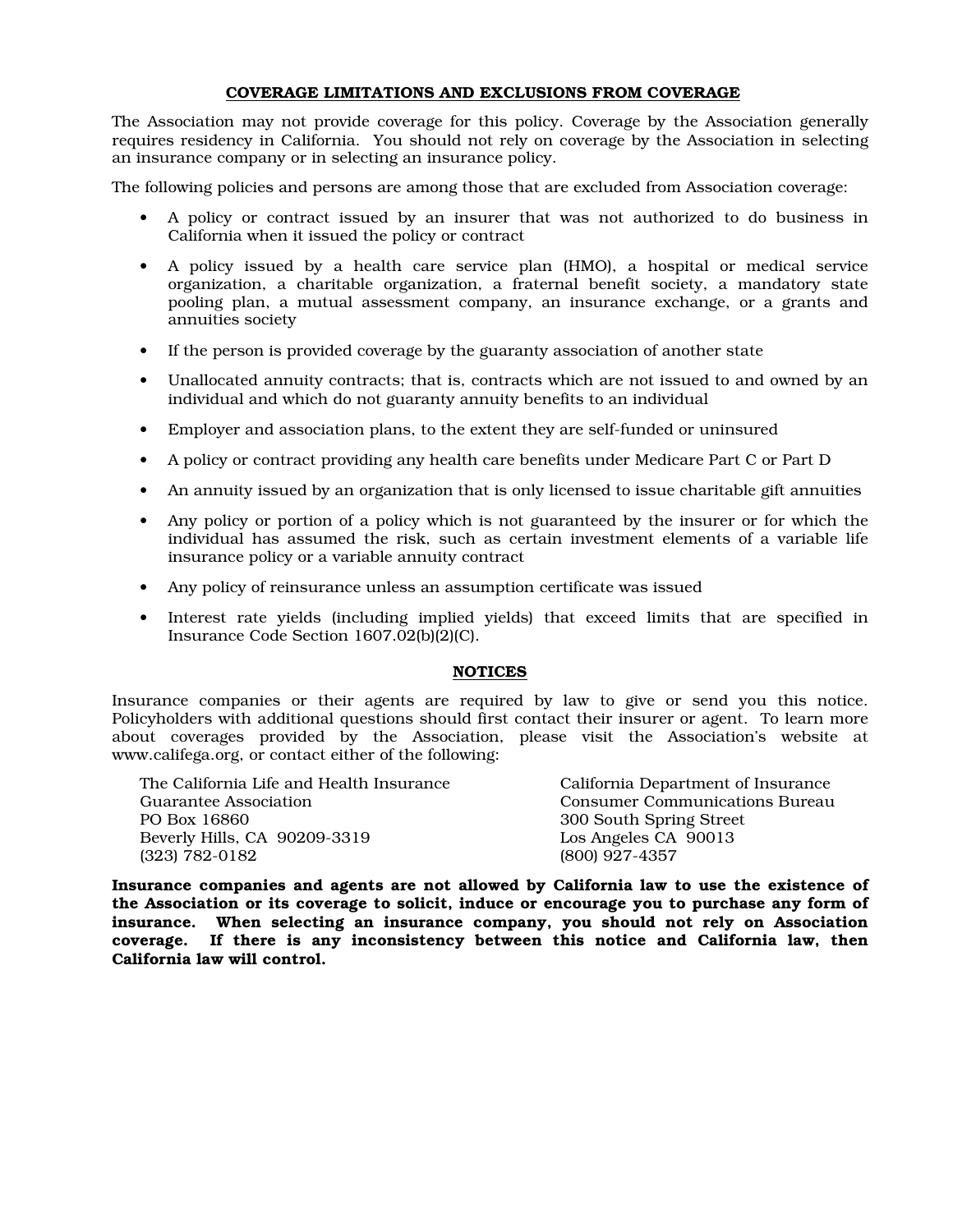#### COVERAGE LIMITATIONS AND EXCLUSIONS FROM COVERAGE

The Association may not provide coverage for this policy. Coverage by the Association generally requires residency in California. You should not rely on coverage by the Association in selecting an insurance company or in selecting an insurance policy.

The following policies and persons are among those that are excluded from Association coverage:

- A policy or contract issued by an insurer that was not authorized to do business in California when it issued the policy or contract
- A policy issued by a health care service plan (HMO), a hospital or medical service organization, a charitable organization, a fraternal benefit society, a mandatory state pooling plan, a mutual assessment company, an insurance exchange, or a grants and annuities society
- If the person is provided coverage by the guaranty association of another state
- Unallocated annuity contracts; that is, contracts which are not issued to and owned by an individual and which do not guaranty annuity benefits to an individual
- Employer and association plans, to the extent they are self-funded or uninsured
- A policy or contract providing any health care benefits under Medicare Part C or Part D
- An annuity issued by an organization that is only licensed to issue charitable gift annuities
- Any policy or portion of a policy which is not guaranteed by the insurer or for which the individual has assumed the risk, such as certain investment elements of a variable life insurance policy or a variable annuity contract
- Any policy of reinsurance unless an assumption certificate was issued
- Interest rate yields (including implied yields) that exceed limits that are specified in Insurance Code Section 1607.02(b)(2)(C).

#### NOTICES

Insurance companies or their agents are required by law to give or send you this notice. Policyholders with additional questions should first contact their insurer or agent. To learn more about coverages provided by the Association, please visit the Association's website at www.califega.org, or contact either of the following:

| The California Life and Health Insurance | California Department of Insurance    |
|------------------------------------------|---------------------------------------|
| Guarantee Association                    | <b>Consumer Communications Bureau</b> |
| PO Box 16860                             | 300 South Spring Street               |
| Beverly Hills, CA 90209-3319             | Los Angeles CA 90013                  |
| $(323) 782 - 0182$                       | (800) 927-4357                        |

Insurance companies and agents are not allowed by California law to use the existence of the Association or its coverage to solicit, induce or encourage you to purchase any form of insurance. When selecting an insurance company, you should not rely on Association coverage. If there is any inconsistency between this notice and California law, then California law will control.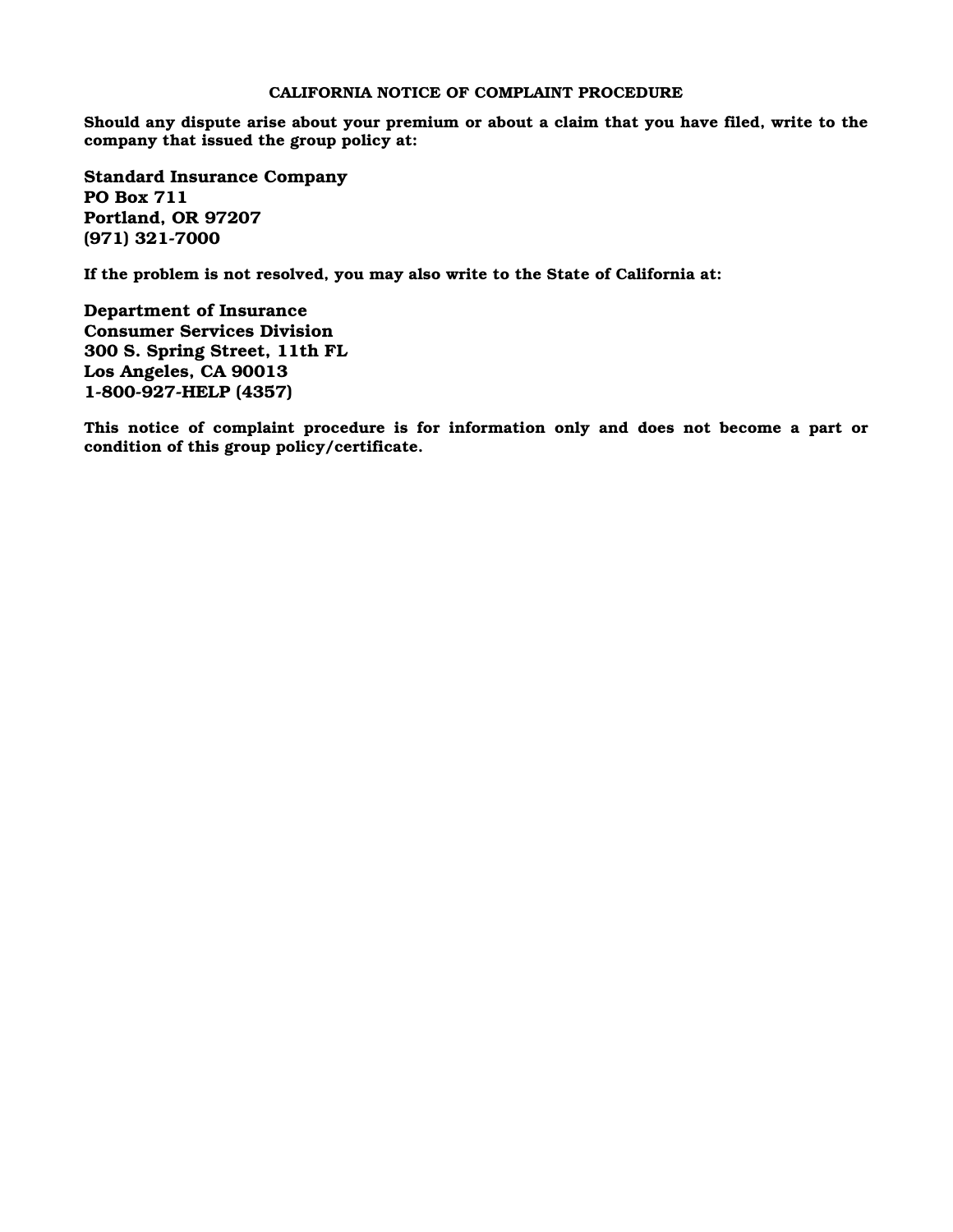#### CALIFORNIA NOTICE OF COMPLAINT PROCEDURE

Should any dispute arise about your premium or about a claim that you have filed, write to the company that issued the group policy at:

Standard Insurance Company PO Box 711 Portland, OR 97207 (971) 321-7000

If the problem is not resolved, you may also write to the State of California at:

Department of Insurance Consumer Services Division 300 S. Spring Street, 11th FL Los Angeles, CA 90013 1-800-927-HELP (4357)

This notice of complaint procedure is for information only and does not become a part or condition of this group policy/certificate.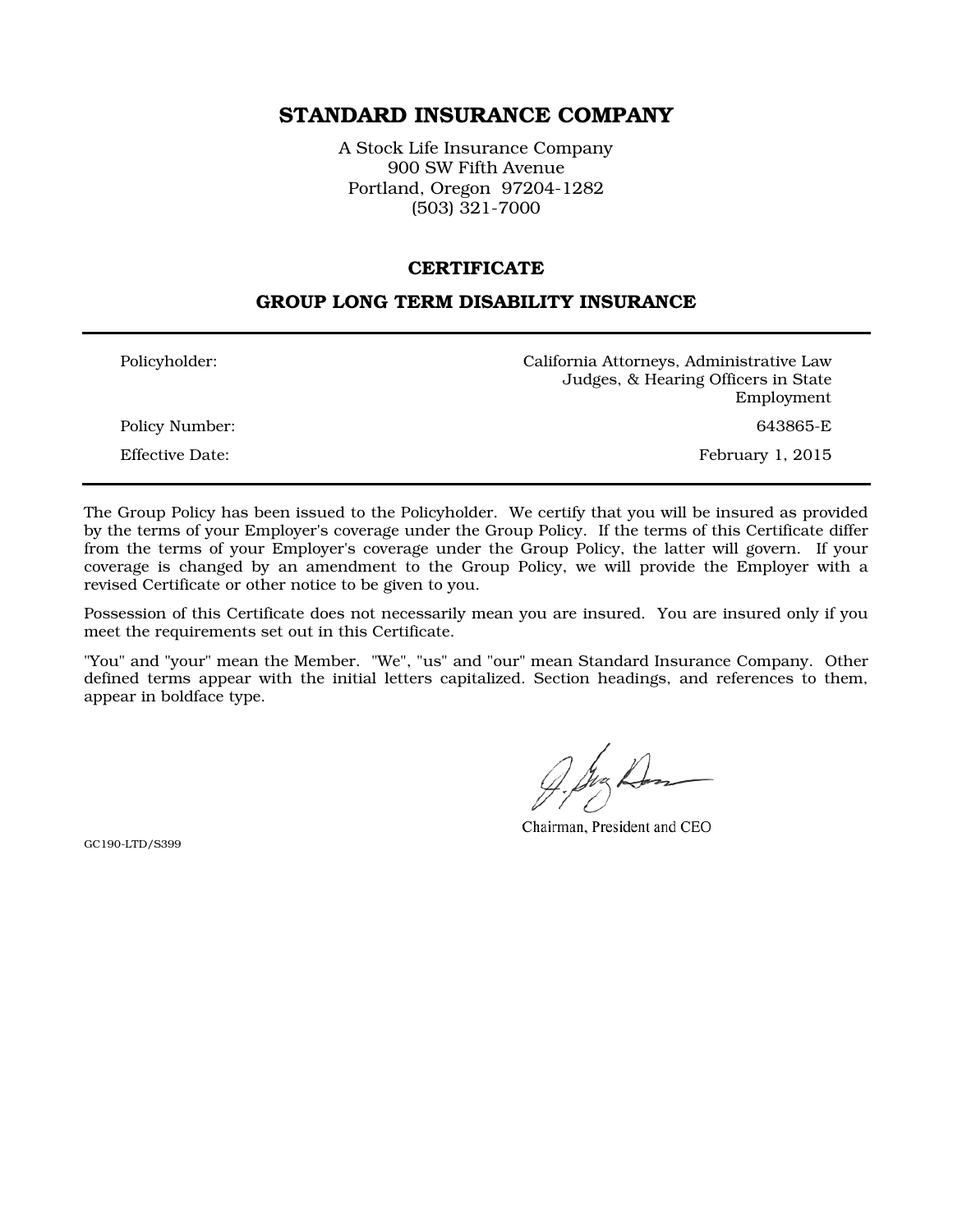# STANDARD INSURANCE COMPANY

A Stock Life Insurance Company 900 SW Fifth Avenue Portland, Oregon 97204-1282 (503) 321-7000

### **CERTIFICATE**

### GROUP LONG TERM DISABILITY INSURANCE

| Policyholder:          | California Attorneys, Administrative Law<br>Judges, & Hearing Officers in State |
|------------------------|---------------------------------------------------------------------------------|
|                        | Employment                                                                      |
| Policy Number:         | 643865-E                                                                        |
| <b>Effective Date:</b> | February 1, 2015                                                                |

The Group Policy has been issued to the Policyholder. We certify that you will be insured as provided by the terms of your Employer's coverage under the Group Policy. If the terms of this Certificate differ from the terms of your Employer's coverage under the Group Policy, the latter will govern. If your coverage is changed by an amendment to the Group Policy, we will provide the Employer with a revised Certificate or other notice to be given to you.

Possession of this Certificate does not necessarily mean you are insured. You are insured only if you meet the requirements set out in this Certificate.

"You" and "your" mean the Member. "We", "us" and "our" mean Standard Insurance Company. Other defined terms appear with the initial letters capitalized. Section headings, and references to them, appear in boldface type.

Chairman, President and CEO

GC190-LTD/S399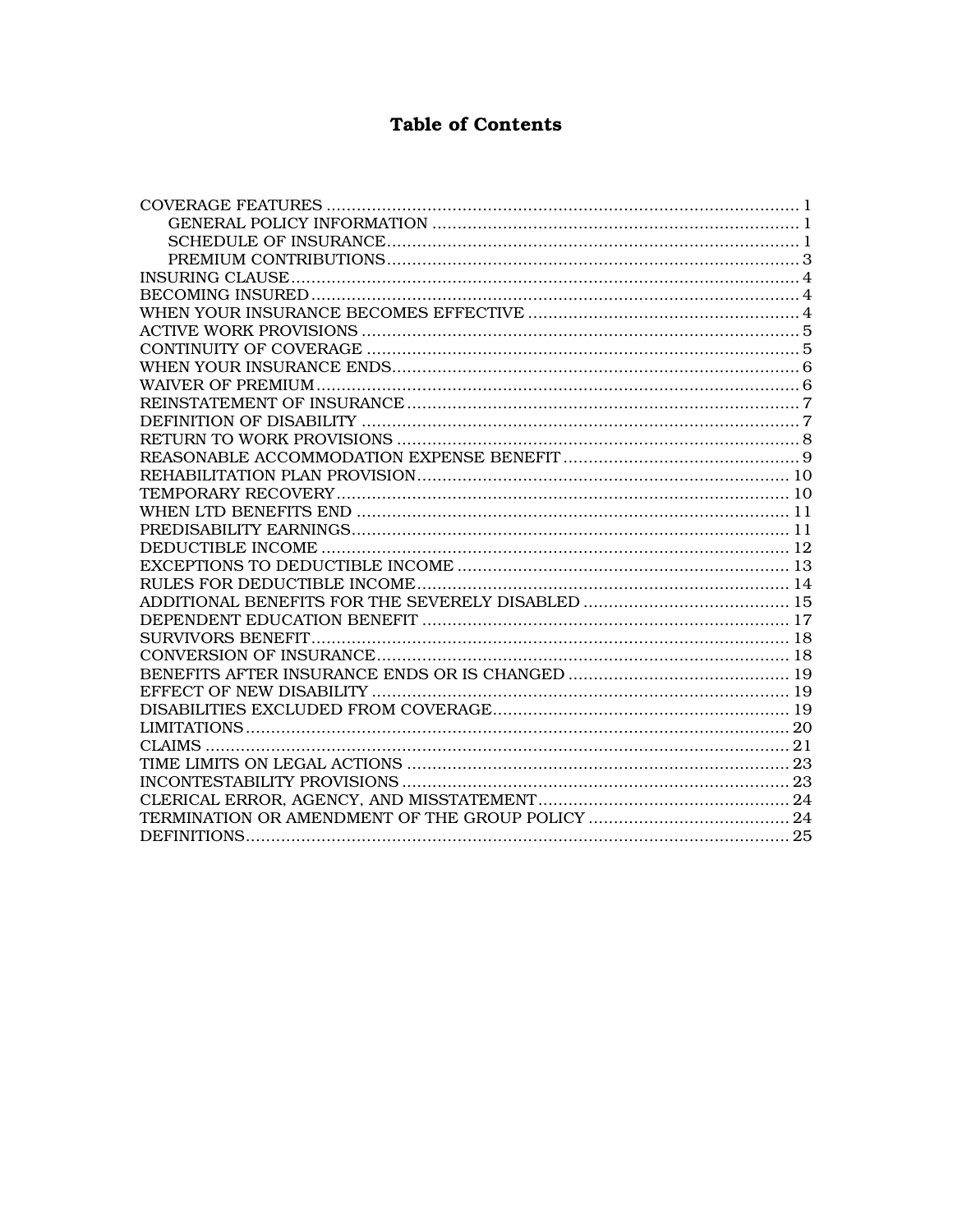# **Table of Contents**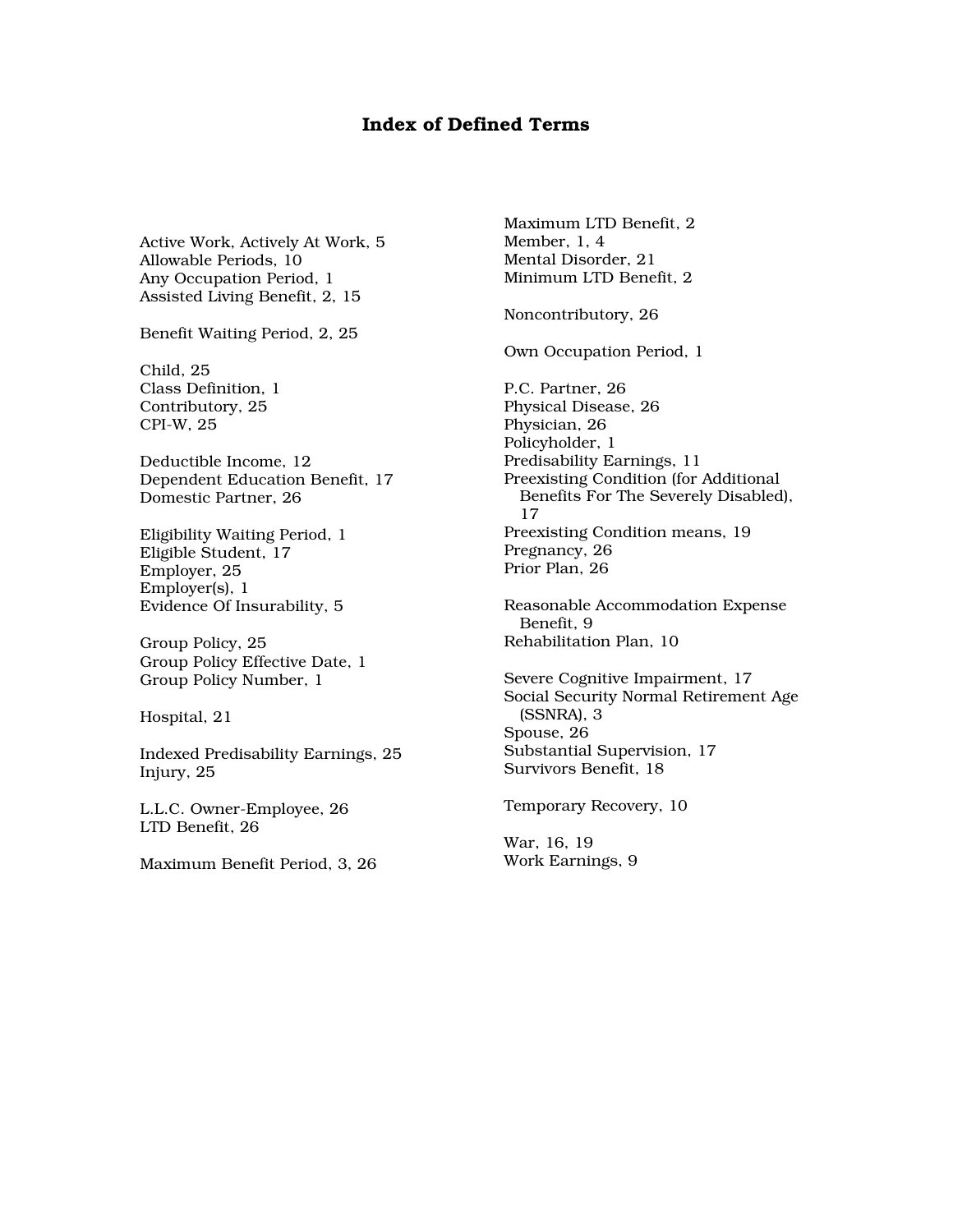### Index of Defined Terms

Active Work, Actively At Work, 5 Allowable Periods, 10 Any Occupation Period, 1 Assisted Living Benefit, 2, 15

Benefit Waiting Period, 2, 25

Child, 25 Class Definition, 1 Contributory, 25 CPI-W, 25

Deductible Income, 12 Dependent Education Benefit, 17 Domestic Partner, 26

Eligibility Waiting Period, 1 Eligible Student, 17 Employer, 25 Employer(s), 1 Evidence Of Insurability, 5

Group Policy, 25 Group Policy Effective Date, 1 Group Policy Number, 1

Hospital, 21

Indexed Predisability Earnings, 25 Injury, 25

L.L.C. Owner-Employee, 26 LTD Benefit, 26

Maximum Benefit Period, 3, 26

Maximum LTD Benefit, 2 Member, 1, 4 Mental Disorder, 21 Minimum LTD Benefit, 2

Noncontributory, 26

Own Occupation Period, 1

P.C. Partner, 26 Physical Disease, 26 Physician, 26 Policyholder, 1 Predisability Earnings, 11 Preexisting Condition (for Additional Benefits For The Severely Disabled), 17 Preexisting Condition means, 19 Pregnancy, 26 Prior Plan, 26

Reasonable Accommodation Expense Benefit, 9 Rehabilitation Plan, 10

Severe Cognitive Impairment, 17 Social Security Normal Retirement Age (SSNRA), 3 Spouse, 26 Substantial Supervision, 17 Survivors Benefit, 18

Temporary Recovery, 10

War, 16, 19 Work Earnings, 9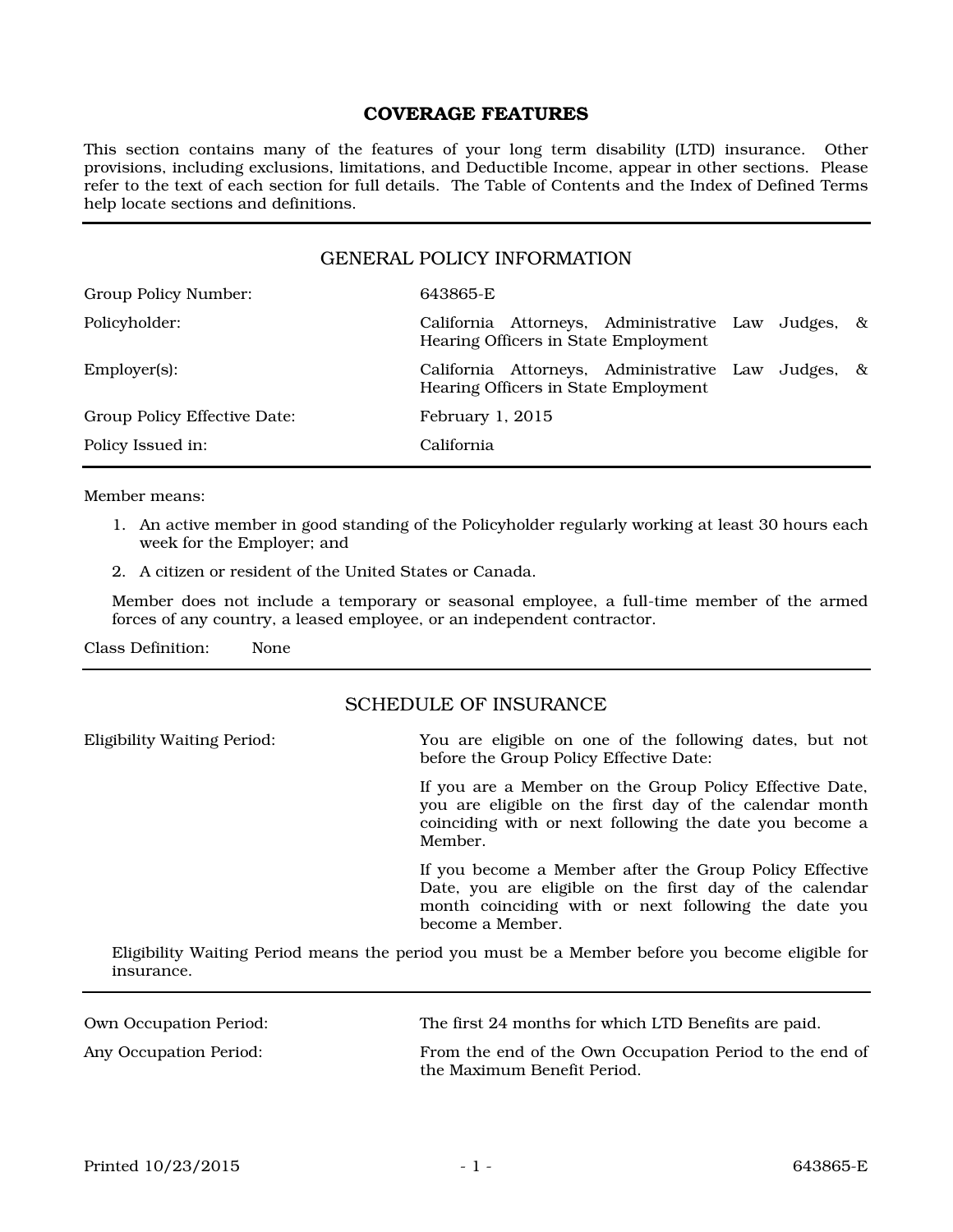# COVERAGE FEATURES

This section contains many of the features of your long term disability (LTD) insurance. Other provisions, including exclusions, limitations, and Deductible Income, appear in other sections. Please refer to the text of each section for full details. The Table of Contents and the Index of Defined Terms help locate sections and definitions.

#### GENERAL POLICY INFORMATION

| Group Policy Number:         | 643865-E                                                                                   |
|------------------------------|--------------------------------------------------------------------------------------------|
| Policyholder:                | California Attorneys, Administrative Law Judges, &<br>Hearing Officers in State Employment |
| $Emplover(s)$ :              | California Attorneys, Administrative Law Judges, &<br>Hearing Officers in State Employment |
| Group Policy Effective Date: | February $1, 2015$                                                                         |
| Policy Issued in:            | California                                                                                 |

Member means:

- 1. An active member in good standing of the Policyholder regularly working at least 30 hours each week for the Employer; and
- 2. A citizen or resident of the United States or Canada.

Member does not include a temporary or seasonal employee, a full-time member of the armed forces of any country, a leased employee, or an independent contractor.

Class Definition: None

### SCHEDULE OF INSURANCE

| <b>Eligibility Waiting Period:</b> | You are eligible on one of the following dates, but not<br>before the Group Policy Effective Date:                                                                                             |
|------------------------------------|------------------------------------------------------------------------------------------------------------------------------------------------------------------------------------------------|
|                                    | If you are a Member on the Group Policy Effective Date,<br>you are eligible on the first day of the calendar month<br>coinciding with or next following the date you become a<br>Member.       |
|                                    | If you become a Member after the Group Policy Effective<br>Date, you are eligible on the first day of the calendar<br>month coinciding with or next following the date you<br>become a Member. |

Eligibility Waiting Period means the period you must be a Member before you become eligible for insurance.

| Own Occupation Period: | The first 24 months for which LTD Benefits are paid.                                   |
|------------------------|----------------------------------------------------------------------------------------|
| Any Occupation Period: | From the end of the Own Occupation Period to the end of<br>the Maximum Benefit Period. |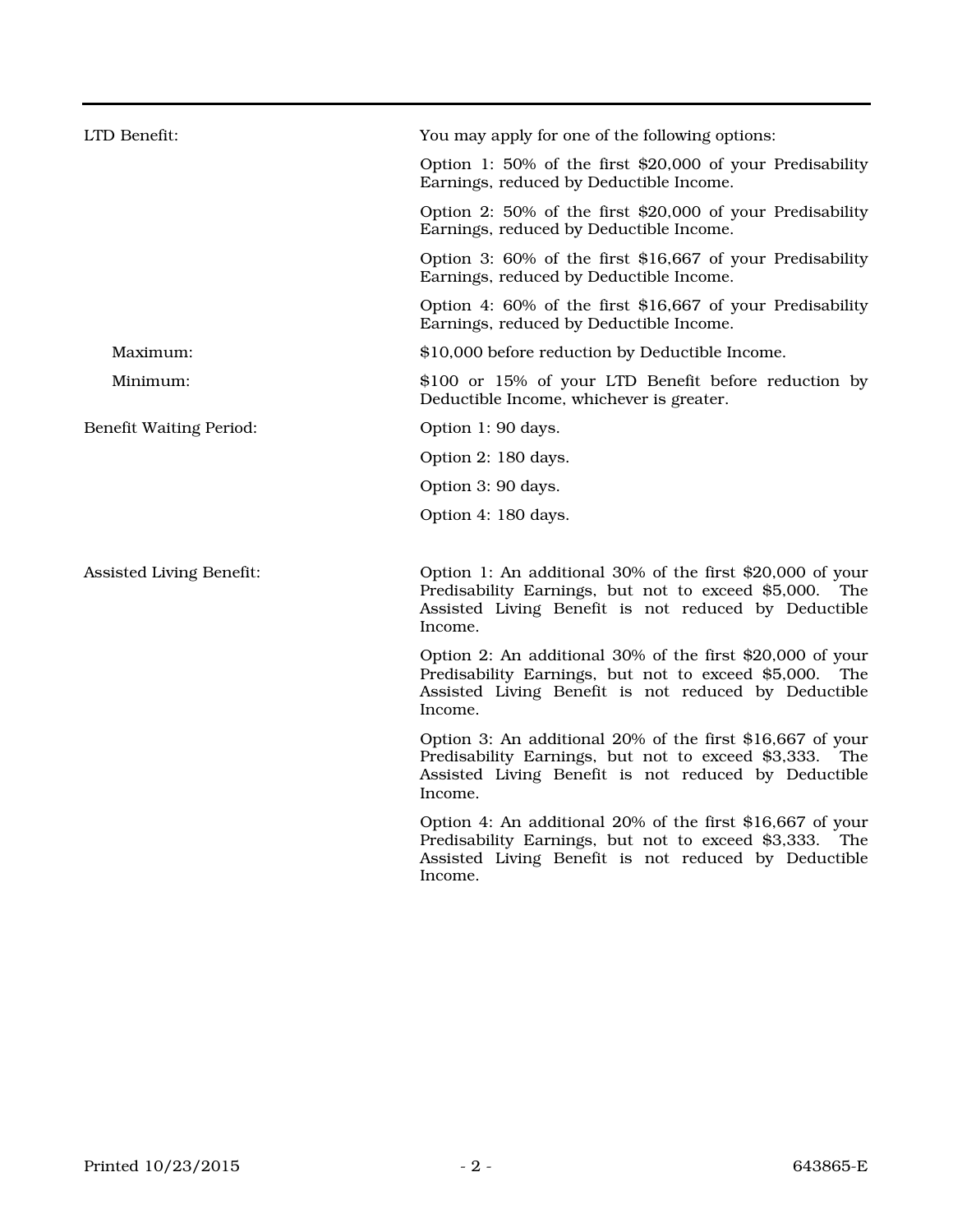| LTD Benefit:                    | You may apply for one of the following options:                                                                                                                                        |
|---------------------------------|----------------------------------------------------------------------------------------------------------------------------------------------------------------------------------------|
|                                 | Option 1: 50% of the first \$20,000 of your Predisability<br>Earnings, reduced by Deductible Income.                                                                                   |
|                                 | Option 2: 50% of the first \$20,000 of your Predisability<br>Earnings, reduced by Deductible Income.                                                                                   |
|                                 | Option 3: 60% of the first \$16,667 of your Predisability<br>Earnings, reduced by Deductible Income.                                                                                   |
|                                 | Option 4: 60% of the first \$16,667 of your Predisability<br>Earnings, reduced by Deductible Income.                                                                                   |
| Maximum:                        | \$10,000 before reduction by Deductible Income.                                                                                                                                        |
| Minimum:                        | \$100 or 15% of your LTD Benefit before reduction by<br>Deductible Income, whichever is greater.                                                                                       |
| <b>Benefit Waiting Period:</b>  | Option 1: 90 days.                                                                                                                                                                     |
|                                 | Option 2: 180 days.                                                                                                                                                                    |
|                                 | Option 3: 90 days.                                                                                                                                                                     |
|                                 | Option 4: 180 days.                                                                                                                                                                    |
|                                 |                                                                                                                                                                                        |
| <b>Assisted Living Benefit:</b> | Option 1: An additional 30% of the first \$20,000 of your<br>Predisability Earnings, but not to exceed \$5,000. The<br>Assisted Living Benefit is not reduced by Deductible<br>Income. |
|                                 | Option 2: An additional 30% of the first \$20,000 of your<br>Predisability Earnings, but not to exceed \$5,000. The<br>Assisted Living Benefit is not reduced by Deductible<br>Income. |
|                                 | Option 3: An additional 20% of the first \$16,667 of your<br>Predisability Earnings, but not to exceed \$3,333. The<br>Assisted Living Benefit is not reduced by Deductible<br>Income. |
|                                 | Option 4: An additional 20% of the first \$16,667 of your<br>Predisability Earnings, but not to exceed \$3,333. The<br>Assisted Living Benefit is not reduced by Deductible<br>Income. |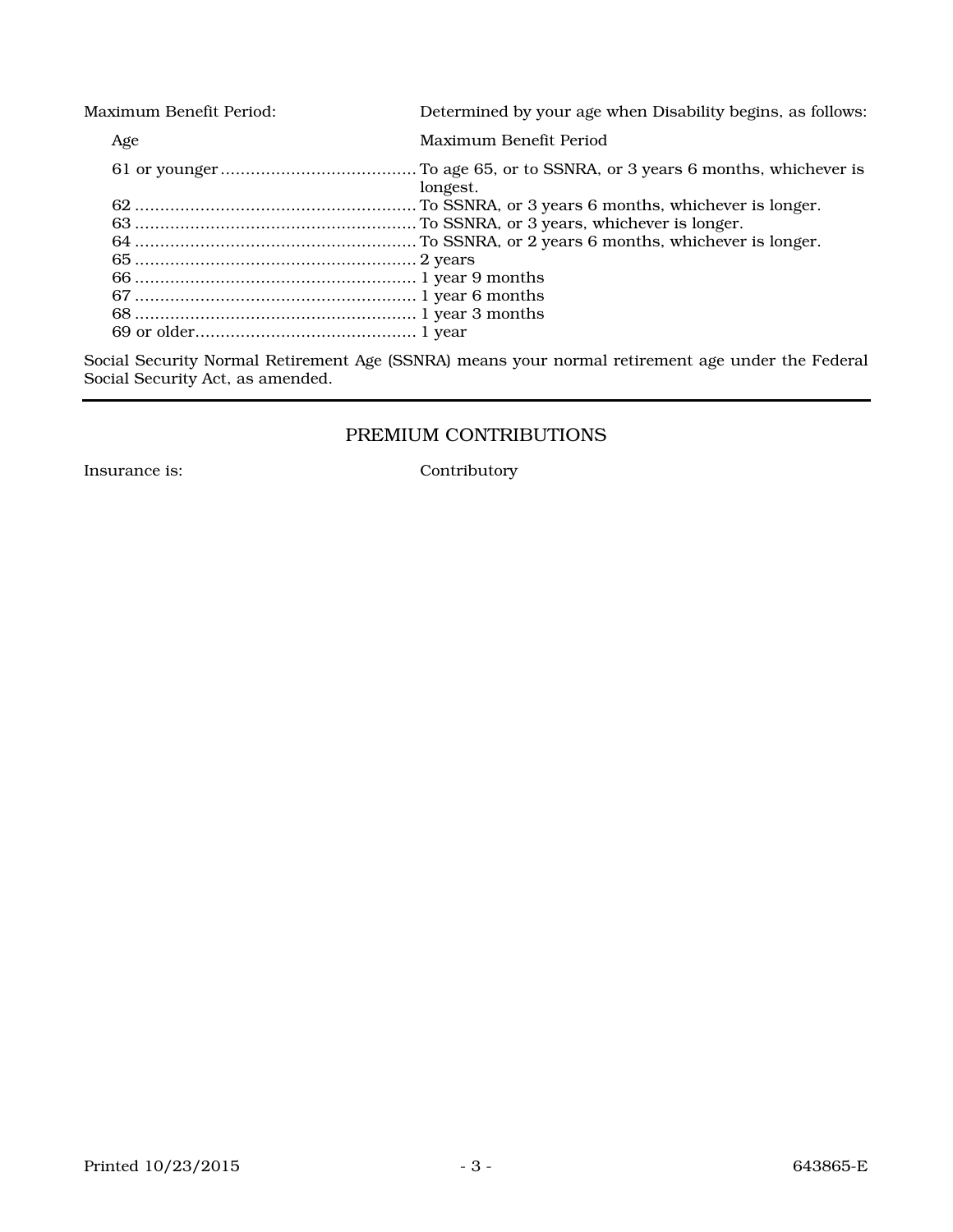| Maximum Benefit Period: |     | Determined by your age when Disability begins, as follows: |
|-------------------------|-----|------------------------------------------------------------|
|                         | Age | Maximum Benefit Period                                     |
|                         |     | longest.                                                   |
|                         |     |                                                            |
|                         |     |                                                            |
|                         |     |                                                            |
|                         |     |                                                            |
|                         |     |                                                            |
|                         |     |                                                            |
|                         |     |                                                            |
|                         |     |                                                            |
|                         |     |                                                            |

Social Security Normal Retirement Age (SSNRA) means your normal retirement age under the Federal Social Security Act, as amended.

# PREMIUM CONTRIBUTIONS

Insurance is: Contributory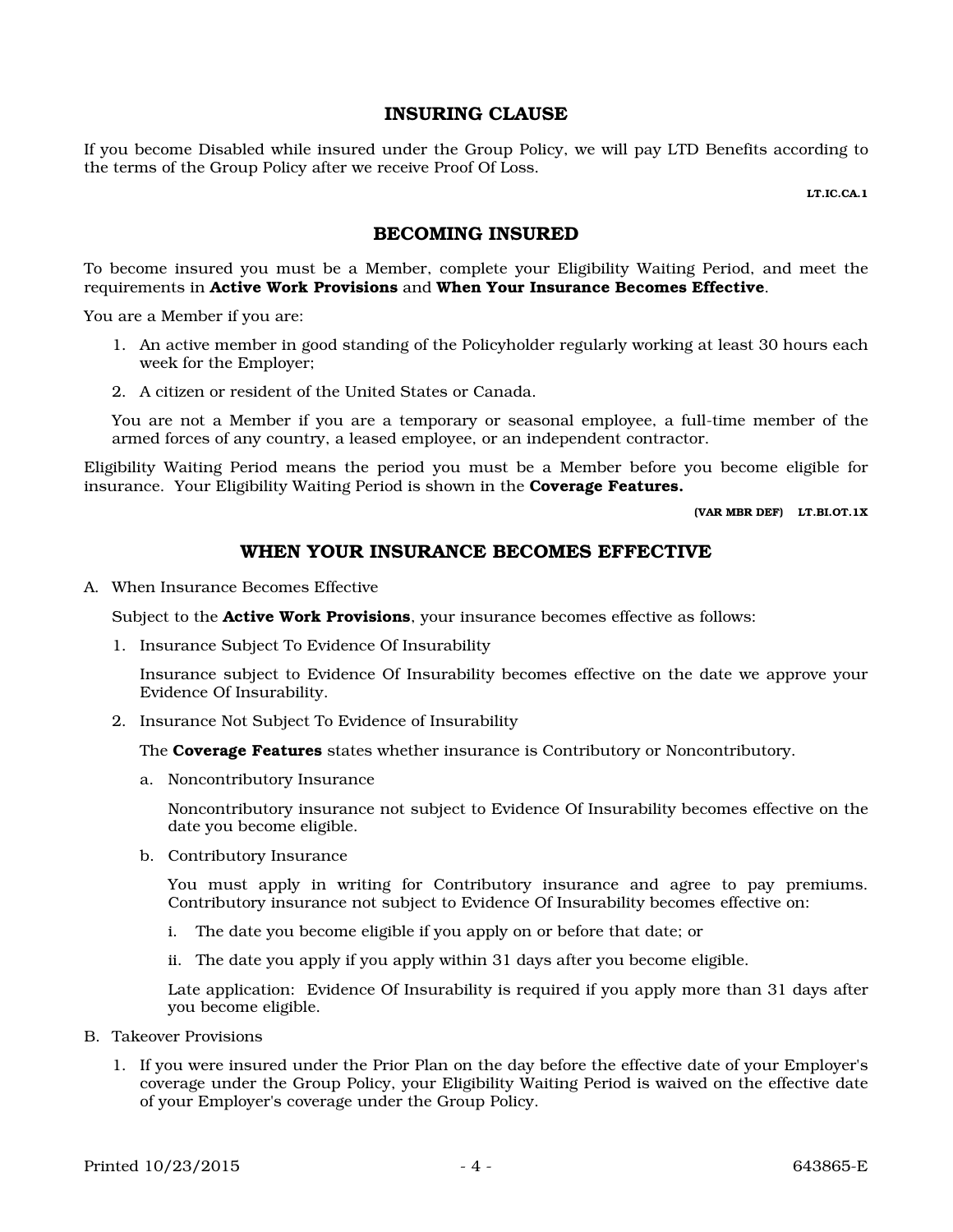### INSURING CLAUSE

If you become Disabled while insured under the Group Policy, we will pay LTD Benefits according to the terms of the Group Policy after we receive Proof Of Loss.

LT.IC.CA.1

### BECOMING INSURED

To become insured you must be a Member, complete your Eligibility Waiting Period, and meet the requirements in Active Work Provisions and When Your Insurance Becomes Effective.

You are a Member if you are:

- 1. An active member in good standing of the Policyholder regularly working at least 30 hours each week for the Employer;
- 2. A citizen or resident of the United States or Canada.

You are not a Member if you are a temporary or seasonal employee, a full-time member of the armed forces of any country, a leased employee, or an independent contractor.

Eligibility Waiting Period means the period you must be a Member before you become eligible for insurance. Your Eligibility Waiting Period is shown in the **Coverage Features.** 

(VAR MBR DEF) LT.BI.OT.1X

# WHEN YOUR INSURANCE BECOMES EFFECTIVE

A. When Insurance Becomes Effective

Subject to the **Active Work Provisions**, your insurance becomes effective as follows:

1. Insurance Subject To Evidence Of Insurability

Insurance subject to Evidence Of Insurability becomes effective on the date we approve your Evidence Of Insurability.

2. Insurance Not Subject To Evidence of Insurability

The **Coverage Features** states whether insurance is Contributory or Noncontributory.

a. Noncontributory Insurance

Noncontributory insurance not subject to Evidence Of Insurability becomes effective on the date you become eligible.

b. Contributory Insurance

You must apply in writing for Contributory insurance and agree to pay premiums. Contributory insurance not subject to Evidence Of Insurability becomes effective on:

- i. The date you become eligible if you apply on or before that date; or
- ii. The date you apply if you apply within 31 days after you become eligible.

Late application: Evidence Of Insurability is required if you apply more than 31 days after you become eligible.

- B. Takeover Provisions
	- 1. If you were insured under the Prior Plan on the day before the effective date of your Employer's coverage under the Group Policy, your Eligibility Waiting Period is waived on the effective date of your Employer's coverage under the Group Policy.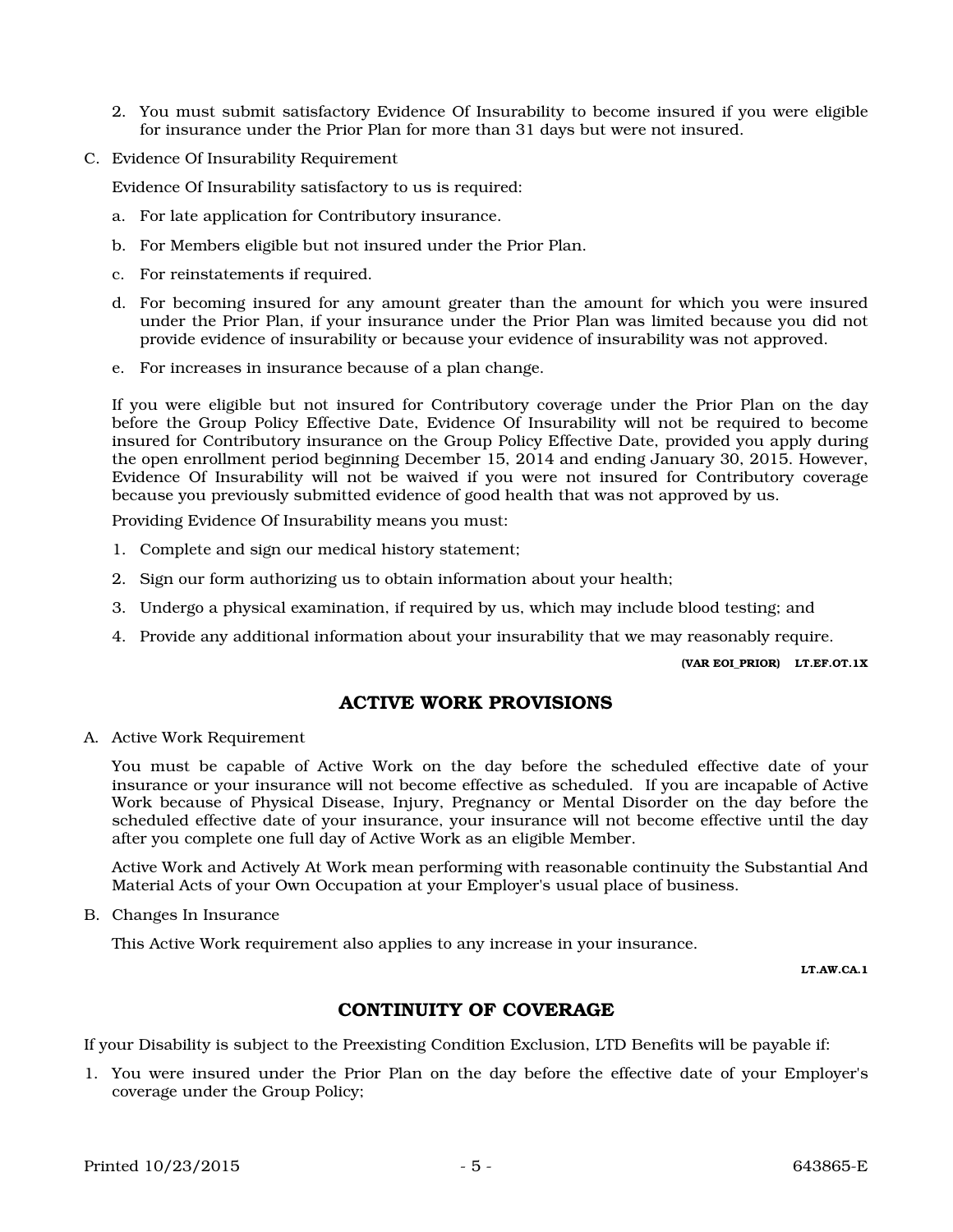- 2. You must submit satisfactory Evidence Of Insurability to become insured if you were eligible for insurance under the Prior Plan for more than 31 days but were not insured.
- C. Evidence Of Insurability Requirement

Evidence Of Insurability satisfactory to us is required:

- a. For late application for Contributory insurance.
- b. For Members eligible but not insured under the Prior Plan.
- c. For reinstatements if required.
- d. For becoming insured for any amount greater than the amount for which you were insured under the Prior Plan, if your insurance under the Prior Plan was limited because you did not provide evidence of insurability or because your evidence of insurability was not approved.
- e. For increases in insurance because of a plan change.

If you were eligible but not insured for Contributory coverage under the Prior Plan on the day before the Group Policy Effective Date, Evidence Of Insurability will not be required to become insured for Contributory insurance on the Group Policy Effective Date, provided you apply during the open enrollment period beginning December 15, 2014 and ending January 30, 2015. However, Evidence Of Insurability will not be waived if you were not insured for Contributory coverage because you previously submitted evidence of good health that was not approved by us.

Providing Evidence Of Insurability means you must:

- 1. Complete and sign our medical history statement;
- 2. Sign our form authorizing us to obtain information about your health;
- 3. Undergo a physical examination, if required by us, which may include blood testing; and
- 4. Provide any additional information about your insurability that we may reasonably require.

(VAR EOI\_PRIOR) LT.EF.OT.1X

# ACTIVE WORK PROVISIONS

A. Active Work Requirement

You must be capable of Active Work on the day before the scheduled effective date of your insurance or your insurance will not become effective as scheduled. If you are incapable of Active Work because of Physical Disease, Injury, Pregnancy or Mental Disorder on the day before the scheduled effective date of your insurance, your insurance will not become effective until the day after you complete one full day of Active Work as an eligible Member.

Active Work and Actively At Work mean performing with reasonable continuity the Substantial And Material Acts of your Own Occupation at your Employer's usual place of business.

B. Changes In Insurance

This Active Work requirement also applies to any increase in your insurance.

LT.AW.CA.1

# CONTINUITY OF COVERAGE

If your Disability is subject to the Preexisting Condition Exclusion, LTD Benefits will be payable if:

1. You were insured under the Prior Plan on the day before the effective date of your Employer's coverage under the Group Policy;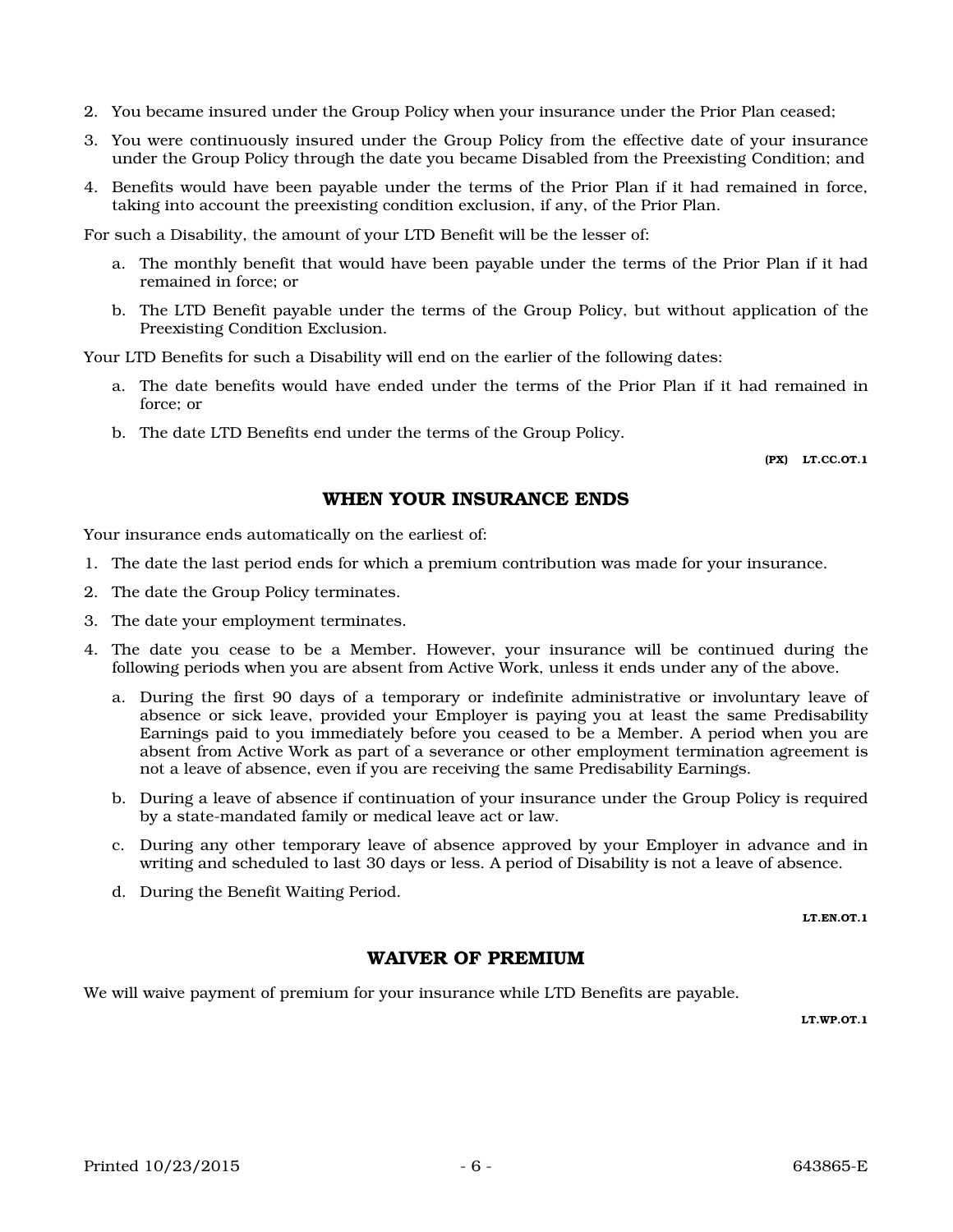- 2. You became insured under the Group Policy when your insurance under the Prior Plan ceased;
- 3. You were continuously insured under the Group Policy from the effective date of your insurance under the Group Policy through the date you became Disabled from the Preexisting Condition; and
- 4. Benefits would have been payable under the terms of the Prior Plan if it had remained in force, taking into account the preexisting condition exclusion, if any, of the Prior Plan.

For such a Disability, the amount of your LTD Benefit will be the lesser of:

- a. The monthly benefit that would have been payable under the terms of the Prior Plan if it had remained in force; or
- b. The LTD Benefit payable under the terms of the Group Policy, but without application of the Preexisting Condition Exclusion.

Your LTD Benefits for such a Disability will end on the earlier of the following dates:

- a. The date benefits would have ended under the terms of the Prior Plan if it had remained in force; or
- b. The date LTD Benefits end under the terms of the Group Policy.

(PX) LT.CC.OT.1

### WHEN YOUR INSURANCE ENDS

Your insurance ends automatically on the earliest of:

- 1. The date the last period ends for which a premium contribution was made for your insurance.
- 2. The date the Group Policy terminates.
- 3. The date your employment terminates.
- 4. The date you cease to be a Member. However, your insurance will be continued during the following periods when you are absent from Active Work, unless it ends under any of the above.
	- a. During the first 90 days of a temporary or indefinite administrative or involuntary leave of absence or sick leave, provided your Employer is paying you at least the same Predisability Earnings paid to you immediately before you ceased to be a Member. A period when you are absent from Active Work as part of a severance or other employment termination agreement is not a leave of absence, even if you are receiving the same Predisability Earnings.
	- b. During a leave of absence if continuation of your insurance under the Group Policy is required by a state-mandated family or medical leave act or law.
	- c. During any other temporary leave of absence approved by your Employer in advance and in writing and scheduled to last 30 days or less. A period of Disability is not a leave of absence.
	- d. During the Benefit Waiting Period.

LT.EN.OT.1

### WAIVER OF PREMIUM

We will waive payment of premium for your insurance while LTD Benefits are payable.

LT.WP.OT.1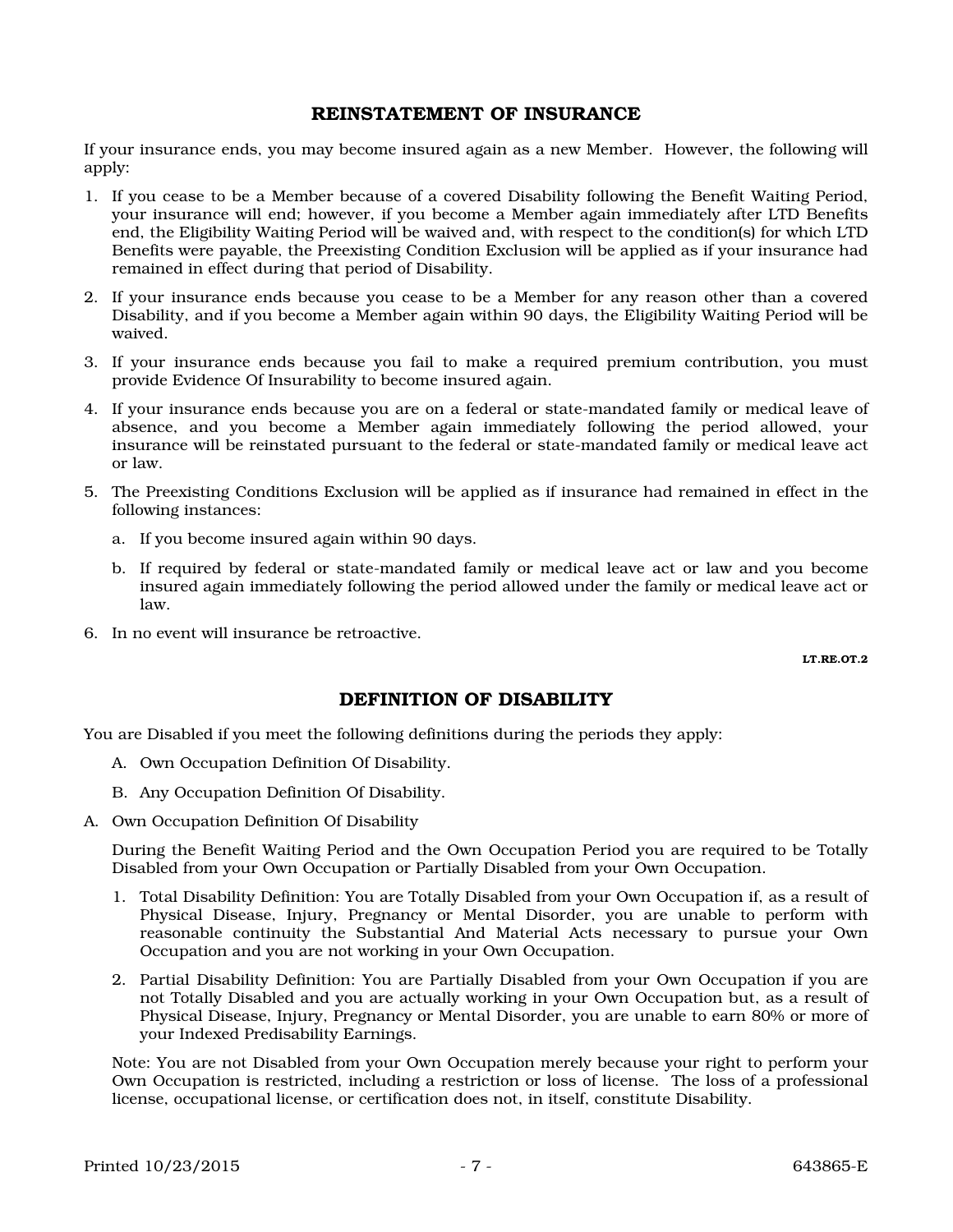### REINSTATEMENT OF INSURANCE

If your insurance ends, you may become insured again as a new Member. However, the following will apply:

- 1. If you cease to be a Member because of a covered Disability following the Benefit Waiting Period, your insurance will end; however, if you become a Member again immediately after LTD Benefits end, the Eligibility Waiting Period will be waived and, with respect to the condition(s) for which LTD Benefits were payable, the Preexisting Condition Exclusion will be applied as if your insurance had remained in effect during that period of Disability.
- 2. If your insurance ends because you cease to be a Member for any reason other than a covered Disability, and if you become a Member again within 90 days, the Eligibility Waiting Period will be waived.
- 3. If your insurance ends because you fail to make a required premium contribution, you must provide Evidence Of Insurability to become insured again.
- 4. If your insurance ends because you are on a federal or state-mandated family or medical leave of absence, and you become a Member again immediately following the period allowed, your insurance will be reinstated pursuant to the federal or state-mandated family or medical leave act or law.
- 5. The Preexisting Conditions Exclusion will be applied as if insurance had remained in effect in the following instances:
	- a. If you become insured again within 90 days.
	- b. If required by federal or state-mandated family or medical leave act or law and you become insured again immediately following the period allowed under the family or medical leave act or law.
- 6. In no event will insurance be retroactive.

LT.RE.OT.2

# DEFINITION OF DISABILITY

You are Disabled if you meet the following definitions during the periods they apply:

- A. Own Occupation Definition Of Disability.
- B. Any Occupation Definition Of Disability.
- A. Own Occupation Definition Of Disability

During the Benefit Waiting Period and the Own Occupation Period you are required to be Totally Disabled from your Own Occupation or Partially Disabled from your Own Occupation.

- 1. Total Disability Definition: You are Totally Disabled from your Own Occupation if, as a result of Physical Disease, Injury, Pregnancy or Mental Disorder, you are unable to perform with reasonable continuity the Substantial And Material Acts necessary to pursue your Own Occupation and you are not working in your Own Occupation.
- 2. Partial Disability Definition: You are Partially Disabled from your Own Occupation if you are not Totally Disabled and you are actually working in your Own Occupation but, as a result of Physical Disease, Injury, Pregnancy or Mental Disorder, you are unable to earn 80% or more of your Indexed Predisability Earnings.

Note: You are not Disabled from your Own Occupation merely because your right to perform your Own Occupation is restricted, including a restriction or loss of license. The loss of a professional license, occupational license, or certification does not, in itself, constitute Disability.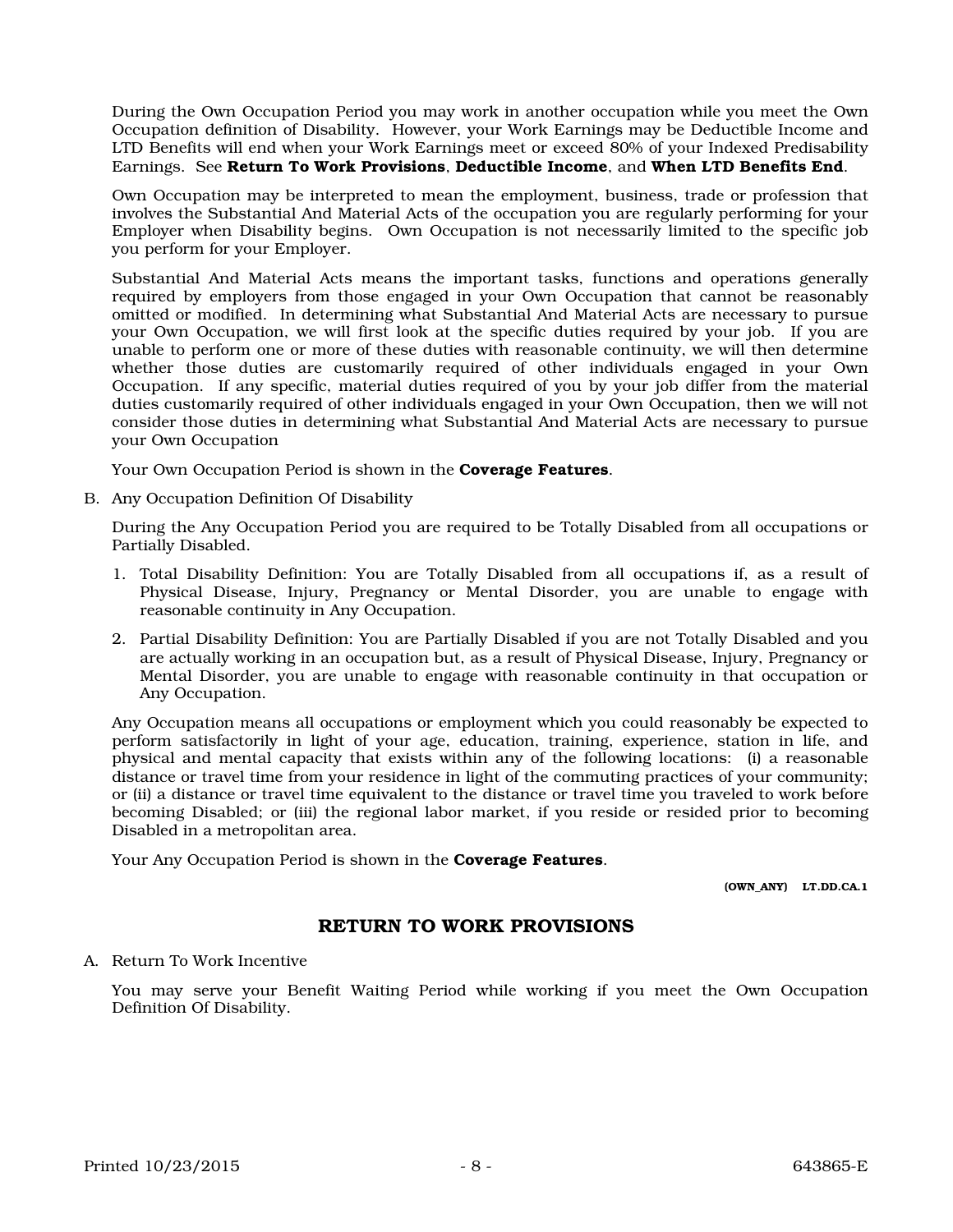During the Own Occupation Period you may work in another occupation while you meet the Own Occupation definition of Disability. However, your Work Earnings may be Deductible Income and LTD Benefits will end when your Work Earnings meet or exceed 80% of your Indexed Predisability Earnings. See Return To Work Provisions, Deductible Income, and When LTD Benefits End.

Own Occupation may be interpreted to mean the employment, business, trade or profession that involves the Substantial And Material Acts of the occupation you are regularly performing for your Employer when Disability begins. Own Occupation is not necessarily limited to the specific job you perform for your Employer.

Substantial And Material Acts means the important tasks, functions and operations generally required by employers from those engaged in your Own Occupation that cannot be reasonably omitted or modified. In determining what Substantial And Material Acts are necessary to pursue your Own Occupation, we will first look at the specific duties required by your job. If you are unable to perform one or more of these duties with reasonable continuity, we will then determine whether those duties are customarily required of other individuals engaged in your Own Occupation. If any specific, material duties required of you by your job differ from the material duties customarily required of other individuals engaged in your Own Occupation, then we will not consider those duties in determining what Substantial And Material Acts are necessary to pursue your Own Occupation

Your Own Occupation Period is shown in the **Coverage Features**.

B. Any Occupation Definition Of Disability

During the Any Occupation Period you are required to be Totally Disabled from all occupations or Partially Disabled.

- 1. Total Disability Definition: You are Totally Disabled from all occupations if, as a result of Physical Disease, Injury, Pregnancy or Mental Disorder, you are unable to engage with reasonable continuity in Any Occupation.
- 2. Partial Disability Definition: You are Partially Disabled if you are not Totally Disabled and you are actually working in an occupation but, as a result of Physical Disease, Injury, Pregnancy or Mental Disorder, you are unable to engage with reasonable continuity in that occupation or Any Occupation.

Any Occupation means all occupations or employment which you could reasonably be expected to perform satisfactorily in light of your age, education, training, experience, station in life, and physical and mental capacity that exists within any of the following locations: (i) a reasonable distance or travel time from your residence in light of the commuting practices of your community; or (ii) a distance or travel time equivalent to the distance or travel time you traveled to work before becoming Disabled; or (iii) the regional labor market, if you reside or resided prior to becoming Disabled in a metropolitan area.

Your Any Occupation Period is shown in the **Coverage Features**.

(OWN\_ANY) LT.DD.CA.1

# RETURN TO WORK PROVISIONS

#### A. Return To Work Incentive

You may serve your Benefit Waiting Period while working if you meet the Own Occupation Definition Of Disability.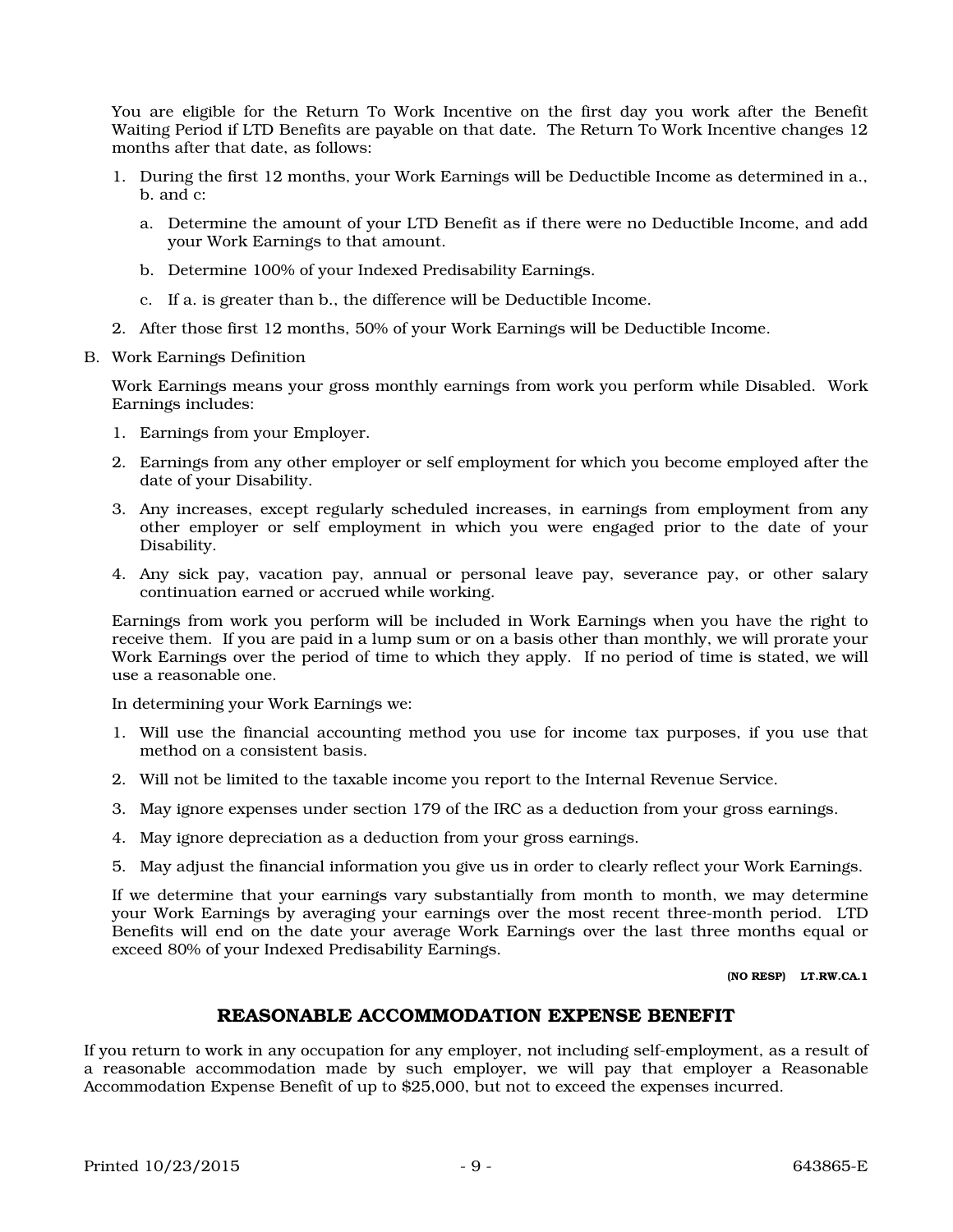You are eligible for the Return To Work Incentive on the first day you work after the Benefit Waiting Period if LTD Benefits are payable on that date. The Return To Work Incentive changes 12 months after that date, as follows:

- 1. During the first 12 months, your Work Earnings will be Deductible Income as determined in a., b. and c:
	- a. Determine the amount of your LTD Benefit as if there were no Deductible Income, and add your Work Earnings to that amount.
	- b. Determine 100% of your Indexed Predisability Earnings.
	- c. If a. is greater than b., the difference will be Deductible Income.
- 2. After those first 12 months, 50% of your Work Earnings will be Deductible Income.
- B. Work Earnings Definition

Work Earnings means your gross monthly earnings from work you perform while Disabled. Work Earnings includes:

- 1. Earnings from your Employer.
- 2. Earnings from any other employer or self employment for which you become employed after the date of your Disability.
- 3. Any increases, except regularly scheduled increases, in earnings from employment from any other employer or self employment in which you were engaged prior to the date of your Disability.
- 4. Any sick pay, vacation pay, annual or personal leave pay, severance pay, or other salary continuation earned or accrued while working.

Earnings from work you perform will be included in Work Earnings when you have the right to receive them. If you are paid in a lump sum or on a basis other than monthly, we will prorate your Work Earnings over the period of time to which they apply. If no period of time is stated, we will use a reasonable one.

In determining your Work Earnings we:

- 1. Will use the financial accounting method you use for income tax purposes, if you use that method on a consistent basis.
- 2. Will not be limited to the taxable income you report to the Internal Revenue Service.
- 3. May ignore expenses under section 179 of the IRC as a deduction from your gross earnings.
- 4. May ignore depreciation as a deduction from your gross earnings.
- 5. May adjust the financial information you give us in order to clearly reflect your Work Earnings.

If we determine that your earnings vary substantially from month to month, we may determine your Work Earnings by averaging your earnings over the most recent three-month period. LTD Benefits will end on the date your average Work Earnings over the last three months equal or exceed 80% of your Indexed Predisability Earnings.

(NO RESP) LT.RW.CA.1

# REASONABLE ACCOMMODATION EXPENSE BENEFIT

If you return to work in any occupation for any employer, not including self-employment, as a result of a reasonable accommodation made by such employer, we will pay that employer a Reasonable Accommodation Expense Benefit of up to \$25,000, but not to exceed the expenses incurred.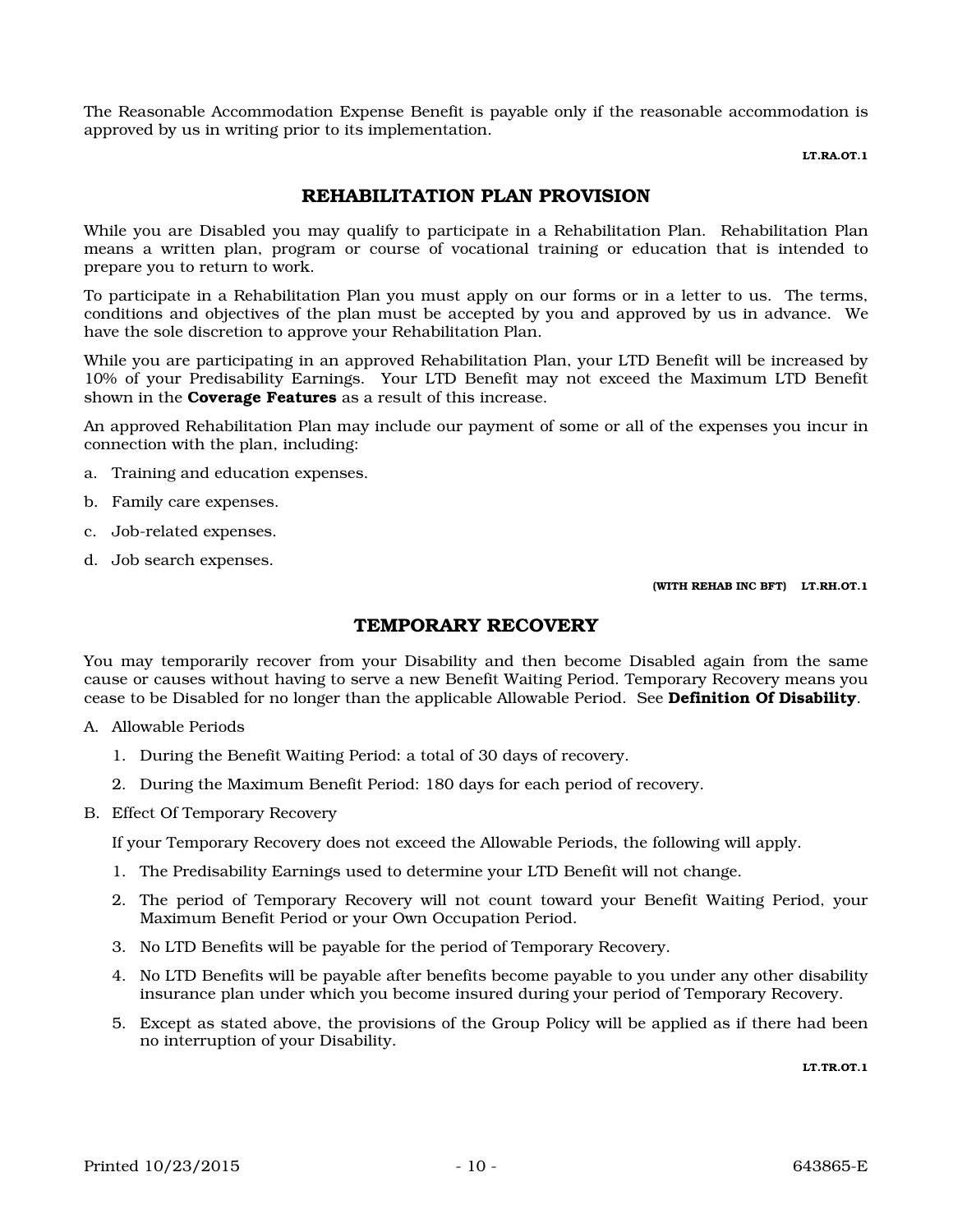The Reasonable Accommodation Expense Benefit is payable only if the reasonable accommodation is approved by us in writing prior to its implementation.

LT.RA.OT.1

# REHABILITATION PLAN PROVISION

While you are Disabled you may qualify to participate in a Rehabilitation Plan. Rehabilitation Plan means a written plan, program or course of vocational training or education that is intended to prepare you to return to work.

To participate in a Rehabilitation Plan you must apply on our forms or in a letter to us. The terms, conditions and objectives of the plan must be accepted by you and approved by us in advance. We have the sole discretion to approve your Rehabilitation Plan.

While you are participating in an approved Rehabilitation Plan, your LTD Benefit will be increased by 10% of your Predisability Earnings. Your LTD Benefit may not exceed the Maximum LTD Benefit shown in the **Coverage Features** as a result of this increase.

An approved Rehabilitation Plan may include our payment of some or all of the expenses you incur in connection with the plan, including:

- a. Training and education expenses.
- b. Family care expenses.
- c. Job-related expenses.
- d. Job search expenses.

(WITH REHAB INC BFT) LT.RH.OT.1

# TEMPORARY RECOVERY

You may temporarily recover from your Disability and then become Disabled again from the same cause or causes without having to serve a new Benefit Waiting Period. Temporary Recovery means you cease to be Disabled for no longer than the applicable Allowable Period. See Definition Of Disability.

- A. Allowable Periods
	- 1. During the Benefit Waiting Period: a total of 30 days of recovery.
	- 2. During the Maximum Benefit Period: 180 days for each period of recovery.
- B. Effect Of Temporary Recovery

If your Temporary Recovery does not exceed the Allowable Periods, the following will apply.

- 1. The Predisability Earnings used to determine your LTD Benefit will not change.
- 2. The period of Temporary Recovery will not count toward your Benefit Waiting Period, your Maximum Benefit Period or your Own Occupation Period.
- 3. No LTD Benefits will be payable for the period of Temporary Recovery.
- 4. No LTD Benefits will be payable after benefits become payable to you under any other disability insurance plan under which you become insured during your period of Temporary Recovery.
- 5. Except as stated above, the provisions of the Group Policy will be applied as if there had been no interruption of your Disability.

LT.TR.OT.1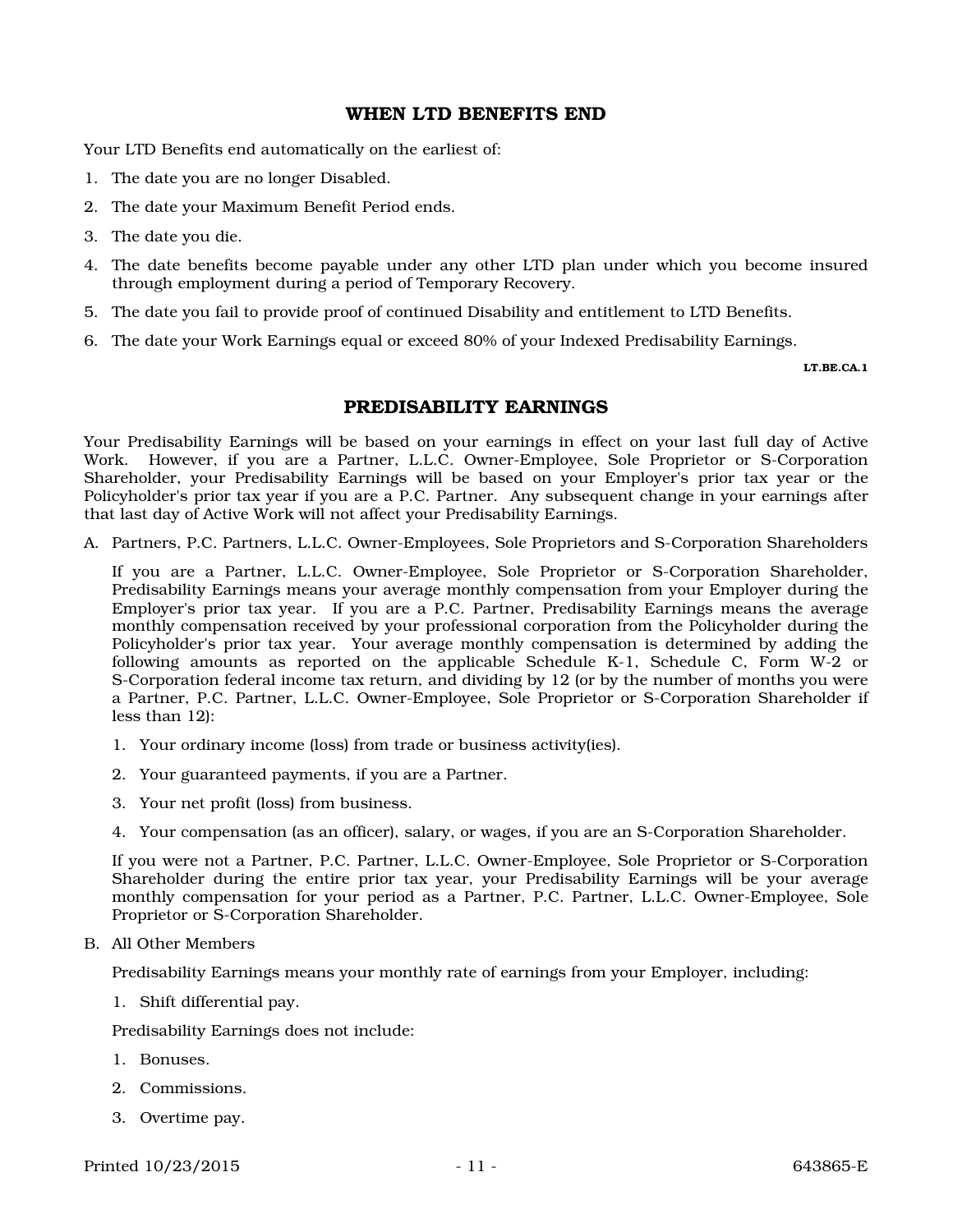### WHEN LTD BENEFITS END

Your LTD Benefits end automatically on the earliest of:

- 1. The date you are no longer Disabled.
- 2. The date your Maximum Benefit Period ends.
- 3. The date you die.
- 4. The date benefits become payable under any other LTD plan under which you become insured through employment during a period of Temporary Recovery.
- 5. The date you fail to provide proof of continued Disability and entitlement to LTD Benefits.
- 6. The date your Work Earnings equal or exceed 80% of your Indexed Predisability Earnings.

LT.BE.CA.1

# PREDISABILITY EARNINGS

Your Predisability Earnings will be based on your earnings in effect on your last full day of Active Work. However, if you are a Partner, L.L.C. Owner-Employee, Sole Proprietor or S-Corporation Shareholder, your Predisability Earnings will be based on your Employer's prior tax year or the Policyholder's prior tax year if you are a P.C. Partner. Any subsequent change in your earnings after that last day of Active Work will not affect your Predisability Earnings.

A. Partners, P.C. Partners, L.L.C. Owner-Employees, Sole Proprietors and S-Corporation Shareholders

If you are a Partner, L.L.C. Owner-Employee, Sole Proprietor or S-Corporation Shareholder, Predisability Earnings means your average monthly compensation from your Employer during the Employer's prior tax year. If you are a P.C. Partner, Predisability Earnings means the average monthly compensation received by your professional corporation from the Policyholder during the Policyholder's prior tax year. Your average monthly compensation is determined by adding the following amounts as reported on the applicable Schedule K-1, Schedule C, Form W-2 or S-Corporation federal income tax return, and dividing by 12 (or by the number of months you were a Partner, P.C. Partner, L.L.C. Owner-Employee, Sole Proprietor or S-Corporation Shareholder if less than 12):

- 1. Your ordinary income (loss) from trade or business activity(ies).
- 2. Your guaranteed payments, if you are a Partner.
- 3. Your net profit (loss) from business.
- 4. Your compensation (as an officer), salary, or wages, if you are an S-Corporation Shareholder.

If you were not a Partner, P.C. Partner, L.L.C. Owner-Employee, Sole Proprietor or S-Corporation Shareholder during the entire prior tax year, your Predisability Earnings will be your average monthly compensation for your period as a Partner, P.C. Partner, L.L.C. Owner-Employee, Sole Proprietor or S-Corporation Shareholder.

#### B. All Other Members

Predisability Earnings means your monthly rate of earnings from your Employer, including:

1. Shift differential pay.

Predisability Earnings does not include:

- 1. Bonuses.
- 2. Commissions.
- 3. Overtime pay.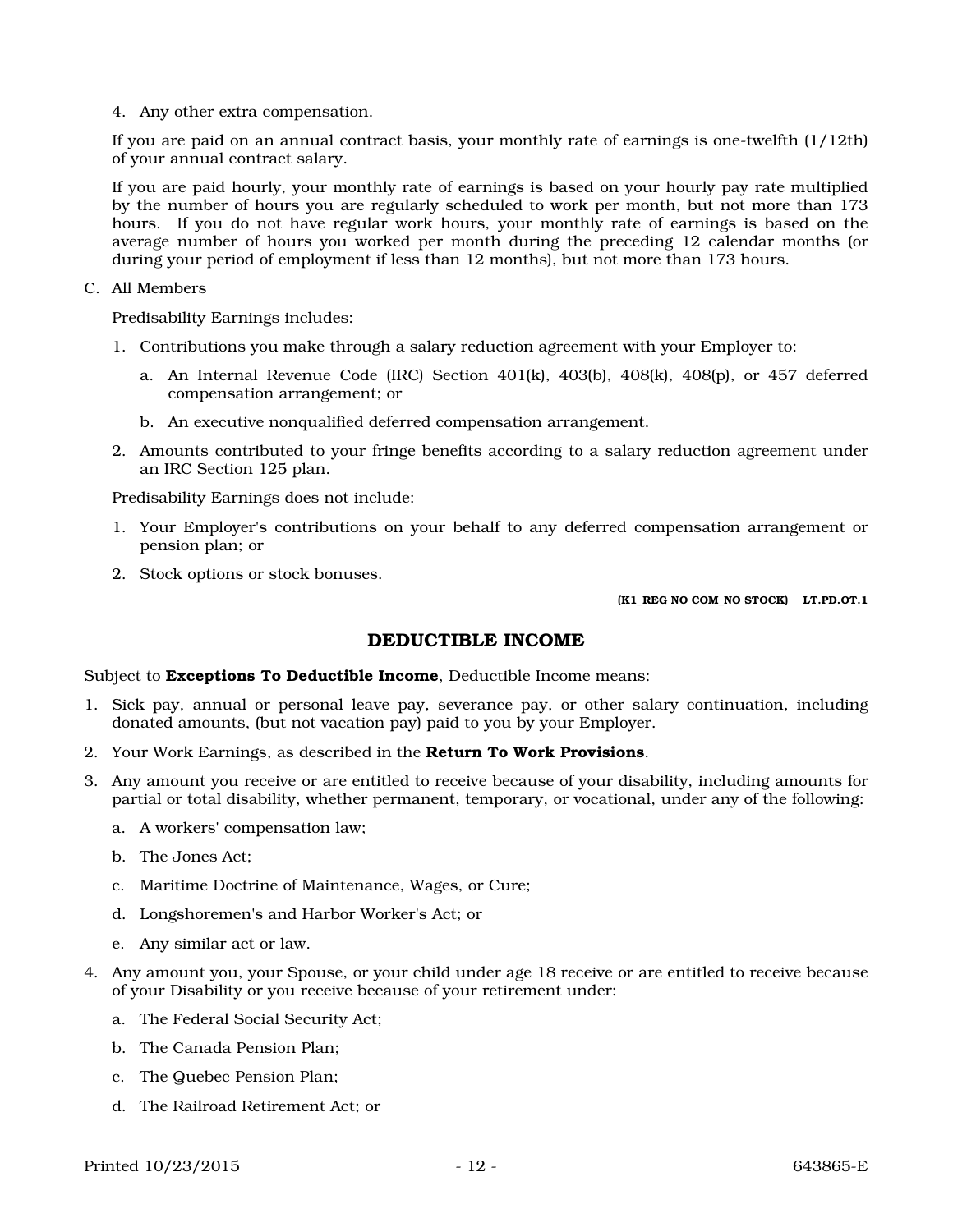4. Any other extra compensation.

If you are paid on an annual contract basis, your monthly rate of earnings is one-twelfth (1/12th) of your annual contract salary.

If you are paid hourly, your monthly rate of earnings is based on your hourly pay rate multiplied by the number of hours you are regularly scheduled to work per month, but not more than 173 hours. If you do not have regular work hours, your monthly rate of earnings is based on the average number of hours you worked per month during the preceding 12 calendar months (or during your period of employment if less than 12 months), but not more than 173 hours.

C. All Members

Predisability Earnings includes:

- 1. Contributions you make through a salary reduction agreement with your Employer to:
	- a. An Internal Revenue Code (IRC) Section  $401(k)$ ,  $403(b)$ ,  $408(k)$ ,  $408(p)$ , or  $457$  deferred compensation arrangement; or
	- b. An executive nonqualified deferred compensation arrangement.
- 2. Amounts contributed to your fringe benefits according to a salary reduction agreement under an IRC Section 125 plan.

Predisability Earnings does not include:

- 1. Your Employer's contributions on your behalf to any deferred compensation arrangement or pension plan; or
- 2. Stock options or stock bonuses.

(K1\_REG NO COM\_NO STOCK) LT.PD.OT.1

#### DEDUCTIBLE INCOME

#### Subject to Exceptions To Deductible Income, Deductible Income means:

- 1. Sick pay, annual or personal leave pay, severance pay, or other salary continuation, including donated amounts, (but not vacation pay) paid to you by your Employer.
- 2. Your Work Earnings, as described in the Return To Work Provisions.
- 3. Any amount you receive or are entitled to receive because of your disability, including amounts for partial or total disability, whether permanent, temporary, or vocational, under any of the following:
	- a. A workers' compensation law;
	- b. The Jones Act;
	- c. Maritime Doctrine of Maintenance, Wages, or Cure;
	- d. Longshoremen's and Harbor Worker's Act; or
	- e. Any similar act or law.
- 4. Any amount you, your Spouse, or your child under age 18 receive or are entitled to receive because of your Disability or you receive because of your retirement under:
	- a. The Federal Social Security Act;
	- b. The Canada Pension Plan;
	- c. The Quebec Pension Plan;
	- d. The Railroad Retirement Act; or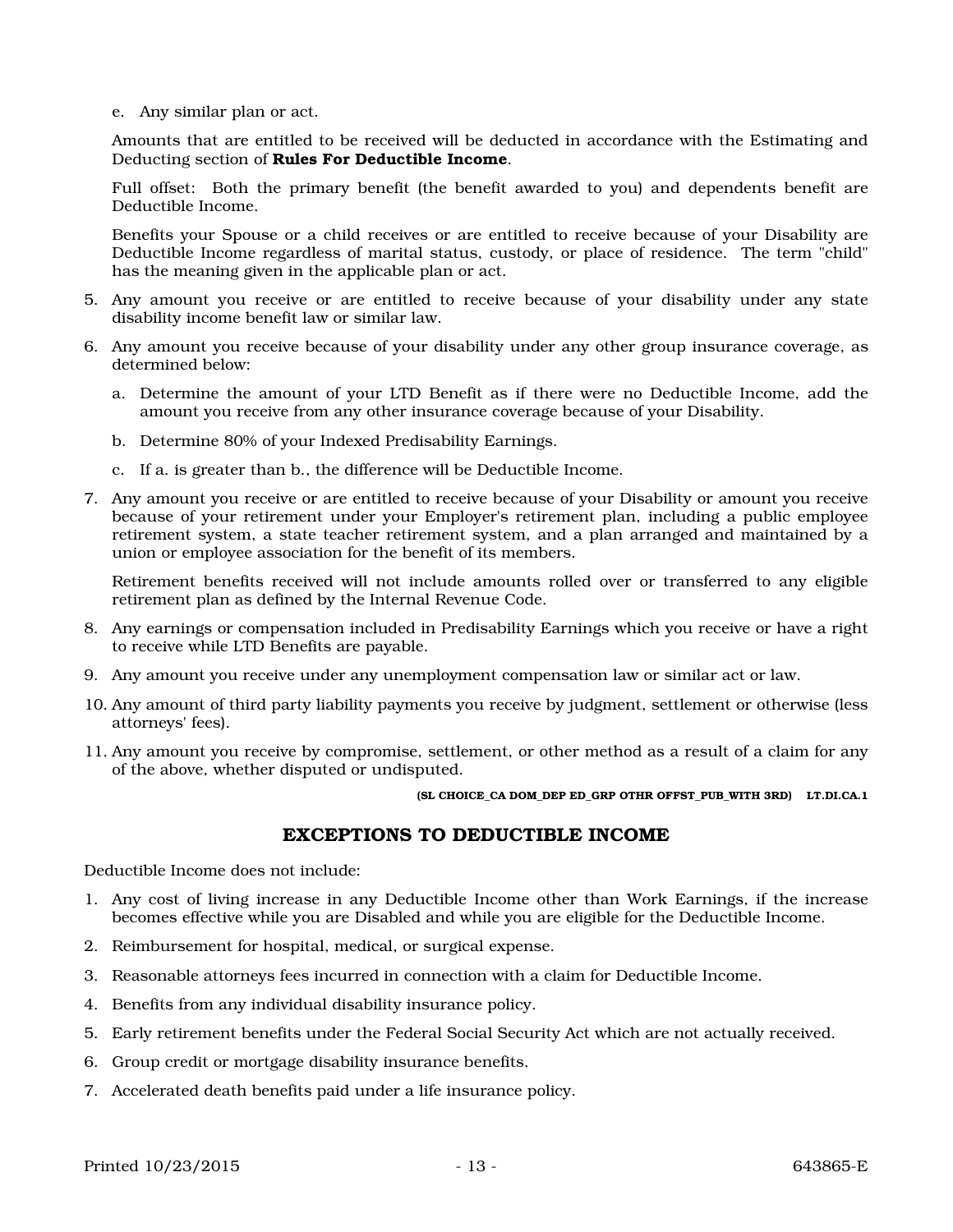e. Any similar plan or act.

Amounts that are entitled to be received will be deducted in accordance with the Estimating and Deducting section of Rules For Deductible Income.

Full offset: Both the primary benefit (the benefit awarded to you) and dependents benefit are Deductible Income.

Benefits your Spouse or a child receives or are entitled to receive because of your Disability are Deductible Income regardless of marital status, custody, or place of residence. The term "child" has the meaning given in the applicable plan or act.

- 5. Any amount you receive or are entitled to receive because of your disability under any state disability income benefit law or similar law.
- 6. Any amount you receive because of your disability under any other group insurance coverage, as determined below:
	- a. Determine the amount of your LTD Benefit as if there were no Deductible Income, add the amount you receive from any other insurance coverage because of your Disability.
	- b. Determine 80% of your Indexed Predisability Earnings.
	- c. If a. is greater than b., the difference will be Deductible Income.
- 7. Any amount you receive or are entitled to receive because of your Disability or amount you receive because of your retirement under your Employer's retirement plan, including a public employee retirement system, a state teacher retirement system, and a plan arranged and maintained by a union or employee association for the benefit of its members.

Retirement benefits received will not include amounts rolled over or transferred to any eligible retirement plan as defined by the Internal Revenue Code.

- 8. Any earnings or compensation included in Predisability Earnings which you receive or have a right to receive while LTD Benefits are payable.
- 9. Any amount you receive under any unemployment compensation law or similar act or law.
- 10. Any amount of third party liability payments you receive by judgment, settlement or otherwise (less attorneys' fees).
- 11. Any amount you receive by compromise, settlement, or other method as a result of a claim for any of the above, whether disputed or undisputed.

#### (SL CHOICE\_CA DOM\_DEP ED\_GRP OTHR OFFST\_PUB\_WITH 3RD) LT.DI.CA.1

### EXCEPTIONS TO DEDUCTIBLE INCOME

Deductible Income does not include:

- 1. Any cost of living increase in any Deductible Income other than Work Earnings, if the increase becomes effective while you are Disabled and while you are eligible for the Deductible Income.
- 2. Reimbursement for hospital, medical, or surgical expense.
- 3. Reasonable attorneys fees incurred in connection with a claim for Deductible Income.
- 4. Benefits from any individual disability insurance policy.
- 5. Early retirement benefits under the Federal Social Security Act which are not actually received.
- 6. Group credit or mortgage disability insurance benefits.
- 7. Accelerated death benefits paid under a life insurance policy.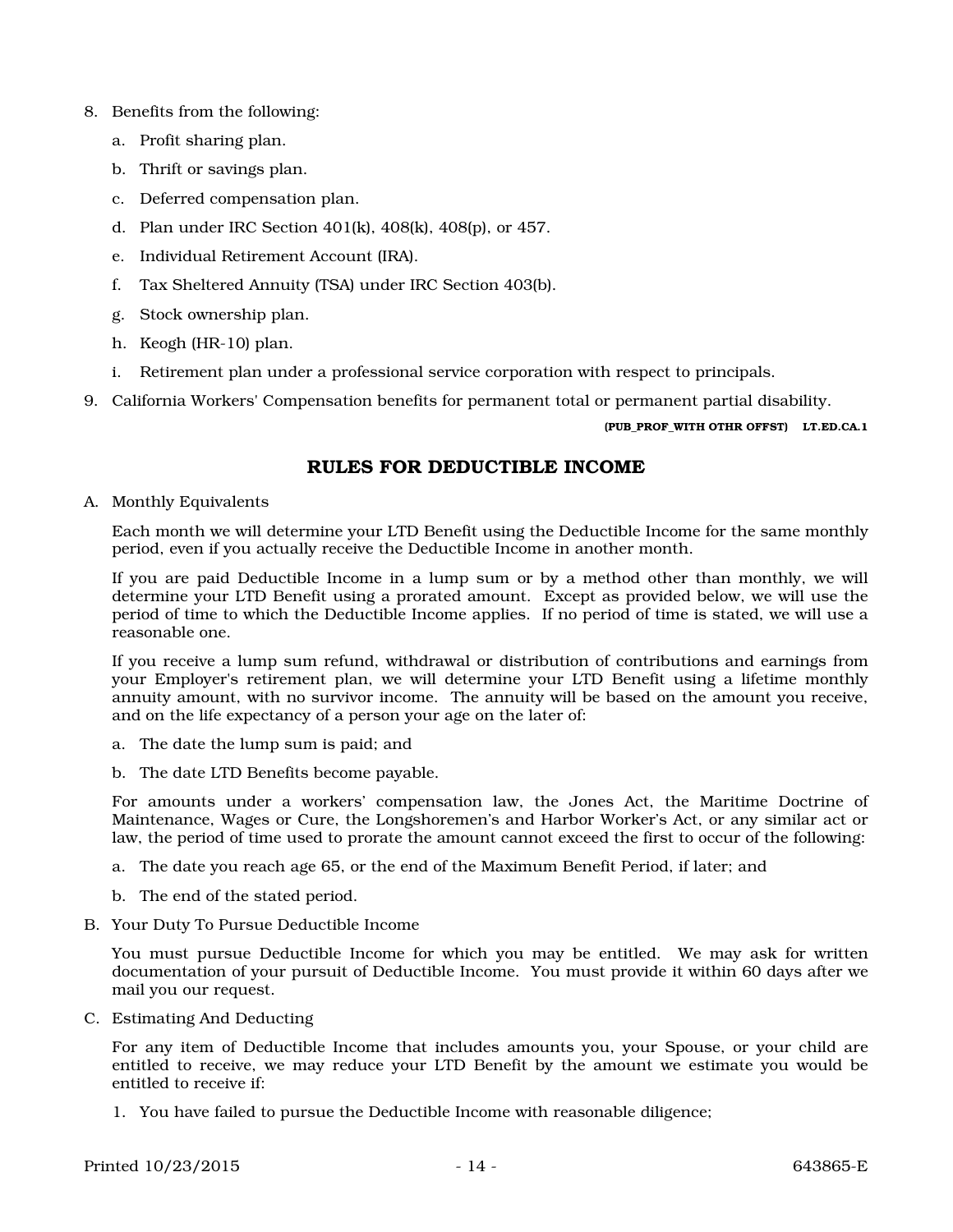- 8. Benefits from the following:
	- a. Profit sharing plan.
	- b. Thrift or savings plan.
	- c. Deferred compensation plan.
	- d. Plan under IRC Section 401(k), 408(k), 408(p), or 457.
	- e. Individual Retirement Account (IRA).
	- f. Tax Sheltered Annuity (TSA) under IRC Section 403(b).
	- g. Stock ownership plan.
	- h. Keogh (HR-10) plan.
	- i. Retirement plan under a professional service corporation with respect to principals.
- 9. California Workers' Compensation benefits for permanent total or permanent partial disability.

#### (PUB\_PROF\_WITH OTHR OFFST) LT.ED.CA.1

# RULES FOR DEDUCTIBLE INCOME

A. Monthly Equivalents

Each month we will determine your LTD Benefit using the Deductible Income for the same monthly period, even if you actually receive the Deductible Income in another month.

If you are paid Deductible Income in a lump sum or by a method other than monthly, we will determine your LTD Benefit using a prorated amount. Except as provided below, we will use the period of time to which the Deductible Income applies. If no period of time is stated, we will use a reasonable one.

If you receive a lump sum refund, withdrawal or distribution of contributions and earnings from your Employer's retirement plan, we will determine your LTD Benefit using a lifetime monthly annuity amount, with no survivor income. The annuity will be based on the amount you receive, and on the life expectancy of a person your age on the later of:

- a. The date the lump sum is paid; and
- b. The date LTD Benefits become payable.

For amounts under a workers' compensation law, the Jones Act, the Maritime Doctrine of Maintenance, Wages or Cure, the Longshoremen's and Harbor Worker's Act, or any similar act or law, the period of time used to prorate the amount cannot exceed the first to occur of the following:

- a. The date you reach age 65, or the end of the Maximum Benefit Period, if later; and
- b. The end of the stated period.
- B. Your Duty To Pursue Deductible Income

You must pursue Deductible Income for which you may be entitled. We may ask for written documentation of your pursuit of Deductible Income. You must provide it within 60 days after we mail you our request.

C. Estimating And Deducting

For any item of Deductible Income that includes amounts you, your Spouse, or your child are entitled to receive, we may reduce your LTD Benefit by the amount we estimate you would be entitled to receive if:

1. You have failed to pursue the Deductible Income with reasonable diligence;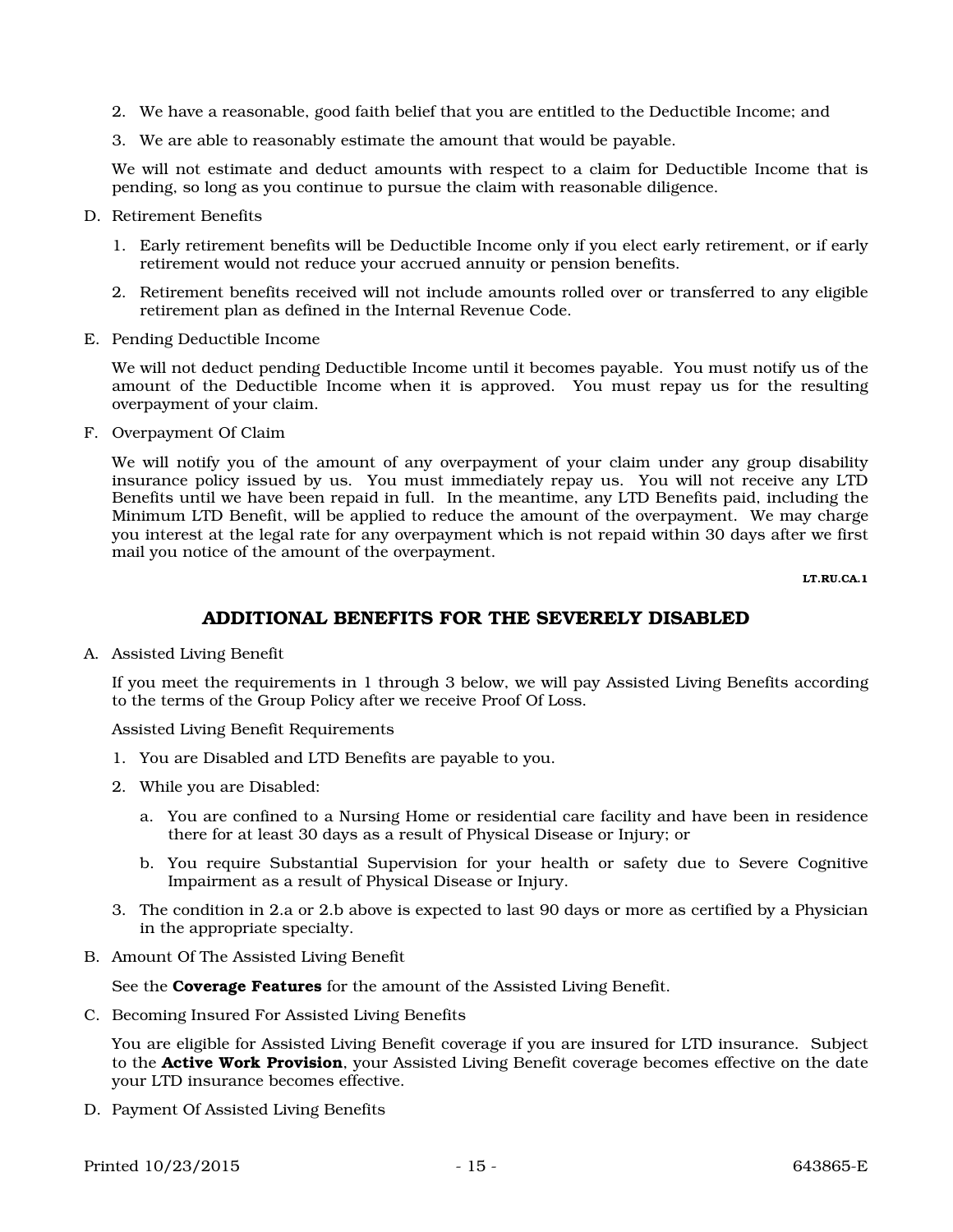- 2. We have a reasonable, good faith belief that you are entitled to the Deductible Income; and
- 3. We are able to reasonably estimate the amount that would be payable.

We will not estimate and deduct amounts with respect to a claim for Deductible Income that is pending, so long as you continue to pursue the claim with reasonable diligence.

- D. Retirement Benefits
	- 1. Early retirement benefits will be Deductible Income only if you elect early retirement, or if early retirement would not reduce your accrued annuity or pension benefits.
	- 2. Retirement benefits received will not include amounts rolled over or transferred to any eligible retirement plan as defined in the Internal Revenue Code.
- E. Pending Deductible Income

We will not deduct pending Deductible Income until it becomes payable. You must notify us of the amount of the Deductible Income when it is approved. You must repay us for the resulting overpayment of your claim.

F. Overpayment Of Claim

We will notify you of the amount of any overpayment of your claim under any group disability insurance policy issued by us. You must immediately repay us. You will not receive any LTD Benefits until we have been repaid in full. In the meantime, any LTD Benefits paid, including the Minimum LTD Benefit, will be applied to reduce the amount of the overpayment. We may charge you interest at the legal rate for any overpayment which is not repaid within 30 days after we first mail you notice of the amount of the overpayment.

LT.RU.CA.1

# ADDITIONAL BENEFITS FOR THE SEVERELY DISABLED

A. Assisted Living Benefit

If you meet the requirements in 1 through 3 below, we will pay Assisted Living Benefits according to the terms of the Group Policy after we receive Proof Of Loss.

Assisted Living Benefit Requirements

- 1. You are Disabled and LTD Benefits are payable to you.
- 2. While you are Disabled:
	- a. You are confined to a Nursing Home or residential care facility and have been in residence there for at least 30 days as a result of Physical Disease or Injury; or
	- b. You require Substantial Supervision for your health or safety due to Severe Cognitive Impairment as a result of Physical Disease or Injury.
- 3. The condition in 2.a or 2.b above is expected to last 90 days or more as certified by a Physician in the appropriate specialty.
- B. Amount Of The Assisted Living Benefit

See the **Coverage Features** for the amount of the Assisted Living Benefit.

C. Becoming Insured For Assisted Living Benefits

You are eligible for Assisted Living Benefit coverage if you are insured for LTD insurance. Subject to the **Active Work Provision**, your Assisted Living Benefit coverage becomes effective on the date your LTD insurance becomes effective.

D. Payment Of Assisted Living Benefits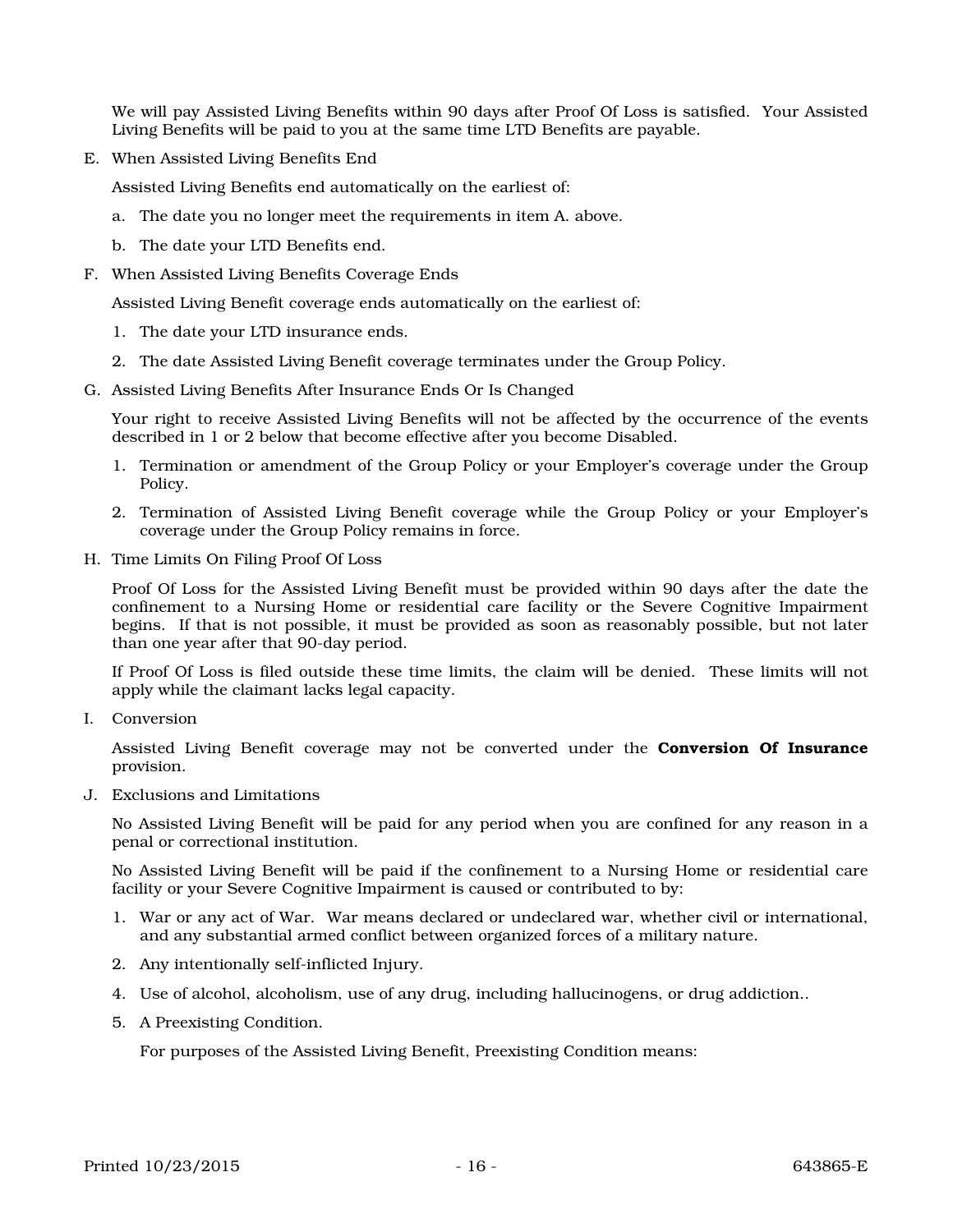We will pay Assisted Living Benefits within 90 days after Proof Of Loss is satisfied. Your Assisted Living Benefits will be paid to you at the same time LTD Benefits are payable.

E. When Assisted Living Benefits End

Assisted Living Benefits end automatically on the earliest of:

- a. The date you no longer meet the requirements in item A. above.
- b. The date your LTD Benefits end.
- F. When Assisted Living Benefits Coverage Ends

Assisted Living Benefit coverage ends automatically on the earliest of:

- 1. The date your LTD insurance ends.
- 2. The date Assisted Living Benefit coverage terminates under the Group Policy.
- G. Assisted Living Benefits After Insurance Ends Or Is Changed

Your right to receive Assisted Living Benefits will not be affected by the occurrence of the events described in 1 or 2 below that become effective after you become Disabled.

- 1. Termination or amendment of the Group Policy or your Employer's coverage under the Group Policy.
- 2. Termination of Assisted Living Benefit coverage while the Group Policy or your Employer's coverage under the Group Policy remains in force.
- H. Time Limits On Filing Proof Of Loss

Proof Of Loss for the Assisted Living Benefit must be provided within 90 days after the date the confinement to a Nursing Home or residential care facility or the Severe Cognitive Impairment begins. If that is not possible, it must be provided as soon as reasonably possible, but not later than one year after that 90-day period.

If Proof Of Loss is filed outside these time limits, the claim will be denied. These limits will not apply while the claimant lacks legal capacity.

I. Conversion

Assisted Living Benefit coverage may not be converted under the **Conversion Of Insurance** provision.

J. Exclusions and Limitations

No Assisted Living Benefit will be paid for any period when you are confined for any reason in a penal or correctional institution.

No Assisted Living Benefit will be paid if the confinement to a Nursing Home or residential care facility or your Severe Cognitive Impairment is caused or contributed to by:

- 1. War or any act of War. War means declared or undeclared war, whether civil or international, and any substantial armed conflict between organized forces of a military nature.
- 2. Any intentionally self-inflicted Injury.
- 4. Use of alcohol, alcoholism, use of any drug, including hallucinogens, or drug addiction..
- 5. A Preexisting Condition.

For purposes of the Assisted Living Benefit, Preexisting Condition means: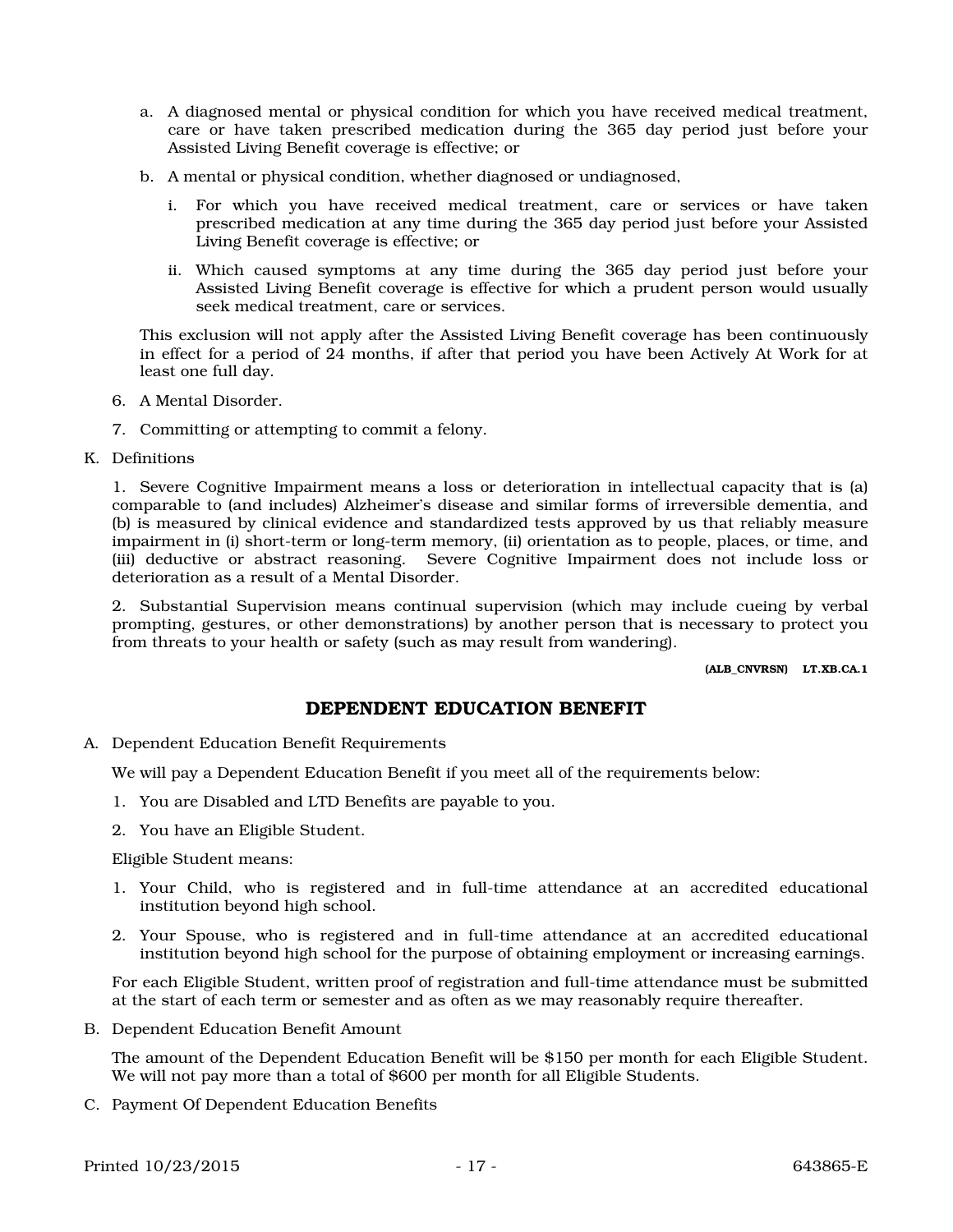- a. A diagnosed mental or physical condition for which you have received medical treatment, care or have taken prescribed medication during the 365 day period just before your Assisted Living Benefit coverage is effective; or
- b. A mental or physical condition, whether diagnosed or undiagnosed,
	- i. For which you have received medical treatment, care or services or have taken prescribed medication at any time during the 365 day period just before your Assisted Living Benefit coverage is effective; or
	- ii. Which caused symptoms at any time during the 365 day period just before your Assisted Living Benefit coverage is effective for which a prudent person would usually seek medical treatment, care or services.

This exclusion will not apply after the Assisted Living Benefit coverage has been continuously in effect for a period of 24 months, if after that period you have been Actively At Work for at least one full day.

- 6. A Mental Disorder.
- 7. Committing or attempting to commit a felony.
- K. Definitions

1. Severe Cognitive Impairment means a loss or deterioration in intellectual capacity that is (a) comparable to (and includes) Alzheimer's disease and similar forms of irreversible dementia, and (b) is measured by clinical evidence and standardized tests approved by us that reliably measure impairment in (i) short-term or long-term memory, (ii) orientation as to people, places, or time, and (iii) deductive or abstract reasoning. Severe Cognitive Impairment does not include loss or deterioration as a result of a Mental Disorder.

2. Substantial Supervision means continual supervision (which may include cueing by verbal prompting, gestures, or other demonstrations) by another person that is necessary to protect you from threats to your health or safety (such as may result from wandering).

(ALB\_CNVRSN) LT.XB.CA.1

# DEPENDENT EDUCATION BENEFIT

A. Dependent Education Benefit Requirements

We will pay a Dependent Education Benefit if you meet all of the requirements below:

- 1. You are Disabled and LTD Benefits are payable to you.
- 2. You have an Eligible Student.

Eligible Student means:

- 1. Your Child, who is registered and in full-time attendance at an accredited educational institution beyond high school.
- 2. Your Spouse, who is registered and in full-time attendance at an accredited educational institution beyond high school for the purpose of obtaining employment or increasing earnings.

For each Eligible Student, written proof of registration and full-time attendance must be submitted at the start of each term or semester and as often as we may reasonably require thereafter.

B. Dependent Education Benefit Amount

The amount of the Dependent Education Benefit will be \$150 per month for each Eligible Student. We will not pay more than a total of \$600 per month for all Eligible Students.

C. Payment Of Dependent Education Benefits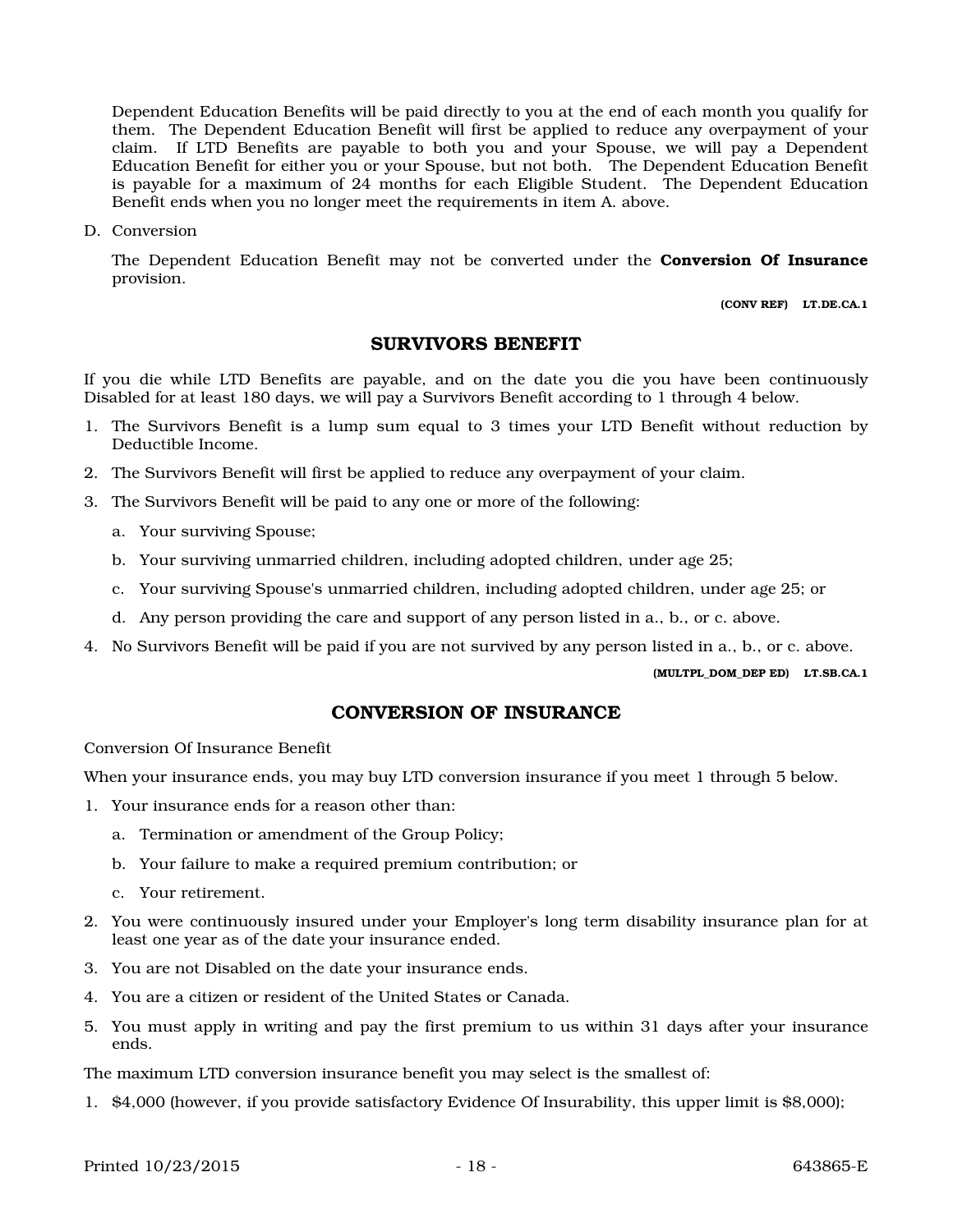Dependent Education Benefits will be paid directly to you at the end of each month you qualify for them. The Dependent Education Benefit will first be applied to reduce any overpayment of your claim. If LTD Benefits are payable to both you and your Spouse, we will pay a Dependent Education Benefit for either you or your Spouse, but not both. The Dependent Education Benefit is payable for a maximum of 24 months for each Eligible Student. The Dependent Education Benefit ends when you no longer meet the requirements in item A. above.

D. Conversion

The Dependent Education Benefit may not be converted under the **Conversion Of Insurance** provision.

(CONV REF) LT.DE.CA.1

### SURVIVORS BENEFIT

If you die while LTD Benefits are payable, and on the date you die you have been continuously Disabled for at least 180 days, we will pay a Survivors Benefit according to 1 through 4 below.

- 1. The Survivors Benefit is a lump sum equal to 3 times your LTD Benefit without reduction by Deductible Income.
- 2. The Survivors Benefit will first be applied to reduce any overpayment of your claim.
- 3. The Survivors Benefit will be paid to any one or more of the following:
	- a. Your surviving Spouse;
	- b. Your surviving unmarried children, including adopted children, under age 25;
	- c. Your surviving Spouse's unmarried children, including adopted children, under age 25; or
	- d. Any person providing the care and support of any person listed in a., b., or c. above.
- 4. No Survivors Benefit will be paid if you are not survived by any person listed in a., b., or c. above.

(MULTPL\_DOM\_DEP ED) LT.SB.CA.1

### CONVERSION OF INSURANCE

Conversion Of Insurance Benefit

When your insurance ends, you may buy LTD conversion insurance if you meet 1 through 5 below.

- 1. Your insurance ends for a reason other than:
	- a. Termination or amendment of the Group Policy;
	- b. Your failure to make a required premium contribution; or
	- c. Your retirement.
- 2. You were continuously insured under your Employer's long term disability insurance plan for at least one year as of the date your insurance ended.
- 3. You are not Disabled on the date your insurance ends.
- 4. You are a citizen or resident of the United States or Canada.
- 5. You must apply in writing and pay the first premium to us within 31 days after your insurance ends.

The maximum LTD conversion insurance benefit you may select is the smallest of:

1. \$4,000 (however, if you provide satisfactory Evidence Of Insurability, this upper limit is \$8,000);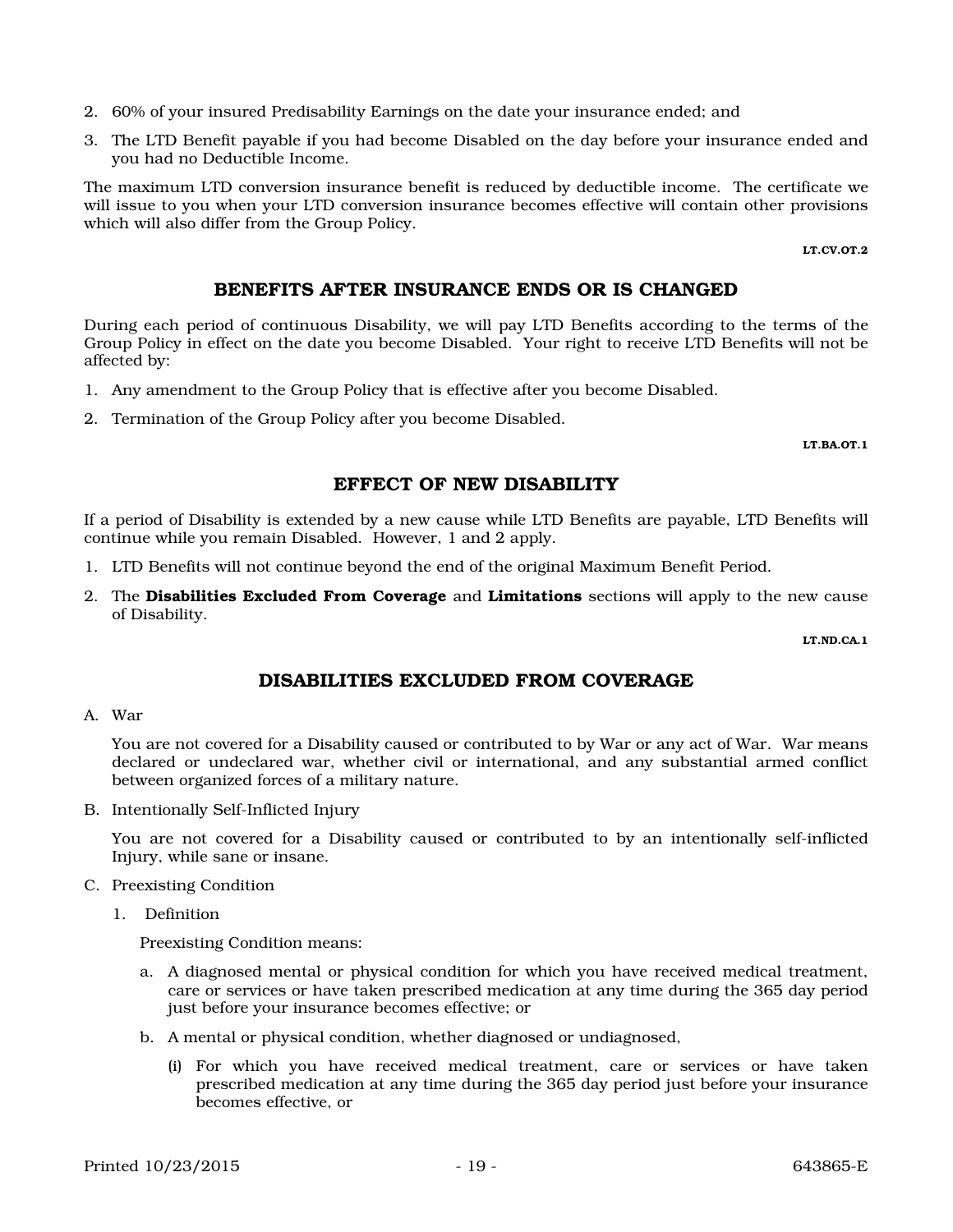Printed 10/23/2015 - 19 - 19 - 19 - 643865-E

you had no Deductible Income. The maximum LTD conversion insurance benefit is reduced by deductible income. The certificate we

2. 60% of your insured Predisability Earnings on the date your insurance ended; and

will issue to you when your LTD conversion insurance becomes effective will contain other provisions which will also differ from the Group Policy.

3. The LTD Benefit payable if you had become Disabled on the day before your insurance ended and

LT.CV.OT.2

# BENEFITS AFTER INSURANCE ENDS OR IS CHANGED

During each period of continuous Disability, we will pay LTD Benefits according to the terms of the Group Policy in effect on the date you become Disabled. Your right to receive LTD Benefits will not be affected by:

- 1. Any amendment to the Group Policy that is effective after you become Disabled.
- 2. Termination of the Group Policy after you become Disabled.

LT.BA.OT.1

# EFFECT OF NEW DISABILITY

If a period of Disability is extended by a new cause while LTD Benefits are payable, LTD Benefits will continue while you remain Disabled. However, 1 and 2 apply.

- 1. LTD Benefits will not continue beyond the end of the original Maximum Benefit Period.
- 2. The Disabilities Excluded From Coverage and Limitations sections will apply to the new cause of Disability.

LT.ND.CA.1

# DISABILITIES EXCLUDED FROM COVERAGE

A. War

You are not covered for a Disability caused or contributed to by War or any act of War. War means declared or undeclared war, whether civil or international, and any substantial armed conflict between organized forces of a military nature.

B. Intentionally Self-Inflicted Injury

You are not covered for a Disability caused or contributed to by an intentionally self-inflicted Injury, while sane or insane.

- C. Preexisting Condition
	- 1. Definition

Preexisting Condition means:

- a. A diagnosed mental or physical condition for which you have received medical treatment, care or services or have taken prescribed medication at any time during the 365 day period just before your insurance becomes effective; or
- b. A mental or physical condition, whether diagnosed or undiagnosed,
	- (i) For which you have received medical treatment, care or services or have taken prescribed medication at any time during the 365 day period just before your insurance becomes effective, or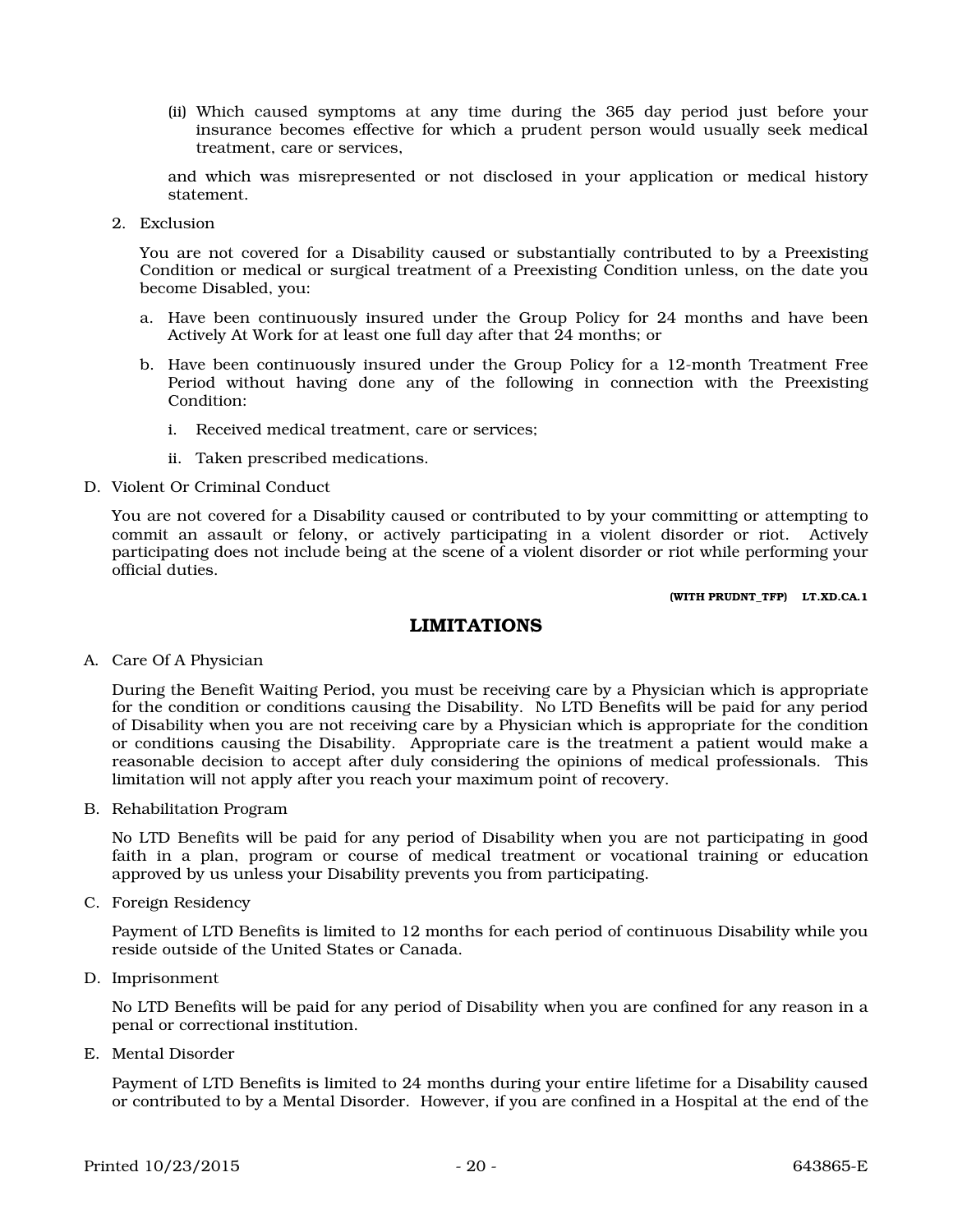(ii) Which caused symptoms at any time during the 365 day period just before your insurance becomes effective for which a prudent person would usually seek medical treatment, care or services,

and which was misrepresented or not disclosed in your application or medical history statement.

2. Exclusion

You are not covered for a Disability caused or substantially contributed to by a Preexisting Condition or medical or surgical treatment of a Preexisting Condition unless, on the date you become Disabled, you:

- a. Have been continuously insured under the Group Policy for 24 months and have been Actively At Work for at least one full day after that 24 months; or
- b. Have been continuously insured under the Group Policy for a 12-month Treatment Free Period without having done any of the following in connection with the Preexisting Condition:
	- i. Received medical treatment, care or services;
	- ii. Taken prescribed medications.
- D. Violent Or Criminal Conduct

You are not covered for a Disability caused or contributed to by your committing or attempting to commit an assault or felony, or actively participating in a violent disorder or riot. Actively participating does not include being at the scene of a violent disorder or riot while performing your official duties.

(WITH PRUDNT\_TFP) LT.XD.CA.1

### LIMITATIONS

A. Care Of A Physician

During the Benefit Waiting Period, you must be receiving care by a Physician which is appropriate for the condition or conditions causing the Disability. No LTD Benefits will be paid for any period of Disability when you are not receiving care by a Physician which is appropriate for the condition or conditions causing the Disability. Appropriate care is the treatment a patient would make a reasonable decision to accept after duly considering the opinions of medical professionals. This limitation will not apply after you reach your maximum point of recovery.

B. Rehabilitation Program

No LTD Benefits will be paid for any period of Disability when you are not participating in good faith in a plan, program or course of medical treatment or vocational training or education approved by us unless your Disability prevents you from participating.

C. Foreign Residency

Payment of LTD Benefits is limited to 12 months for each period of continuous Disability while you reside outside of the United States or Canada.

D. Imprisonment

No LTD Benefits will be paid for any period of Disability when you are confined for any reason in a penal or correctional institution.

E. Mental Disorder

Payment of LTD Benefits is limited to 24 months during your entire lifetime for a Disability caused or contributed to by a Mental Disorder. However, if you are confined in a Hospital at the end of the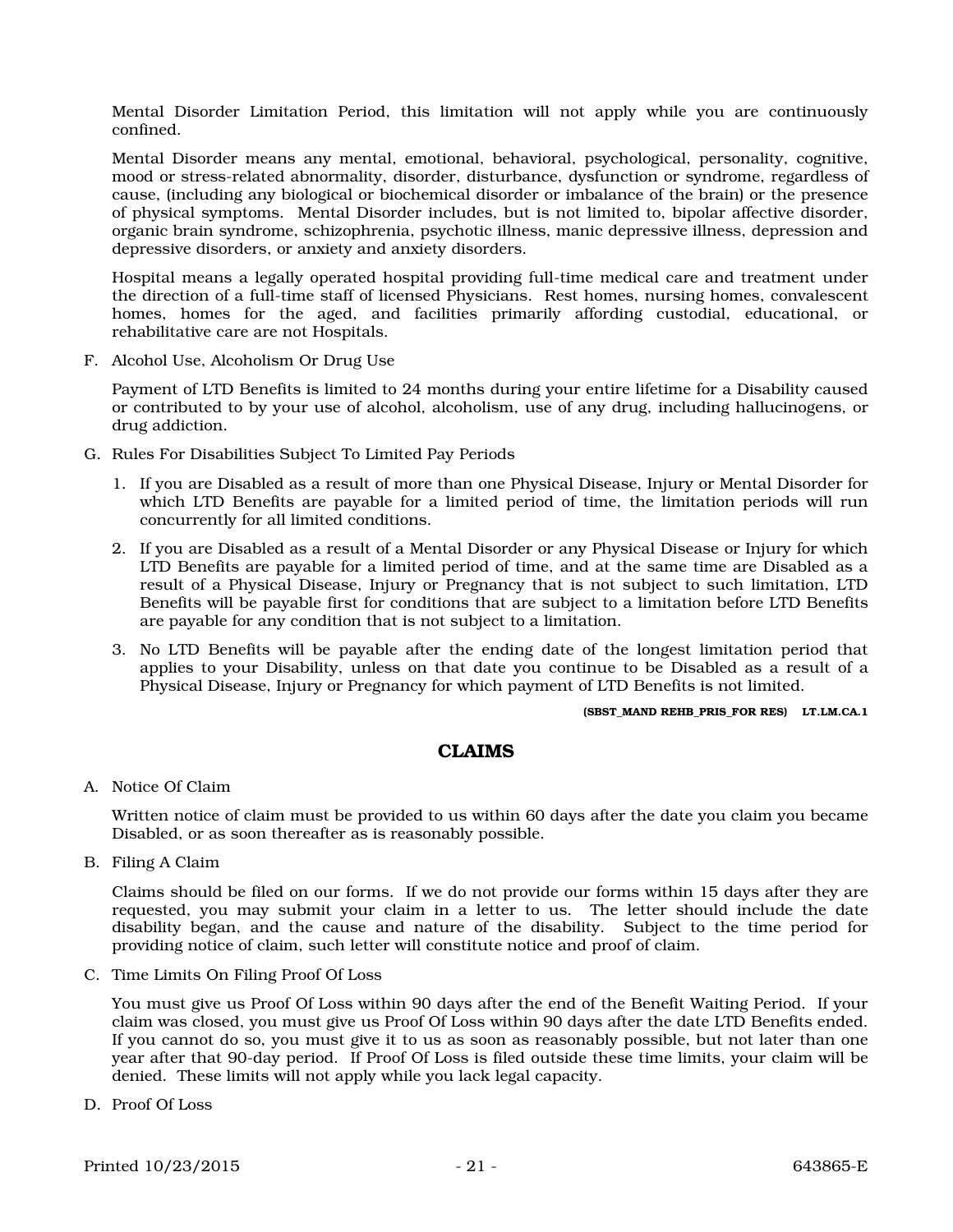Mental Disorder Limitation Period, this limitation will not apply while you are continuously confined.

Mental Disorder means any mental, emotional, behavioral, psychological, personality, cognitive, mood or stress-related abnormality, disorder, disturbance, dysfunction or syndrome, regardless of cause, (including any biological or biochemical disorder or imbalance of the brain) or the presence of physical symptoms. Mental Disorder includes, but is not limited to, bipolar affective disorder, organic brain syndrome, schizophrenia, psychotic illness, manic depressive illness, depression and depressive disorders, or anxiety and anxiety disorders.

Hospital means a legally operated hospital providing full-time medical care and treatment under the direction of a full-time staff of licensed Physicians. Rest homes, nursing homes, convalescent homes, homes for the aged, and facilities primarily affording custodial, educational, or rehabilitative care are not Hospitals.

F. Alcohol Use, Alcoholism Or Drug Use

Payment of LTD Benefits is limited to 24 months during your entire lifetime for a Disability caused or contributed to by your use of alcohol, alcoholism, use of any drug, including hallucinogens, or drug addiction.

- G. Rules For Disabilities Subject To Limited Pay Periods
	- 1. If you are Disabled as a result of more than one Physical Disease, Injury or Mental Disorder for which LTD Benefits are payable for a limited period of time, the limitation periods will run concurrently for all limited conditions.
	- 2. If you are Disabled as a result of a Mental Disorder or any Physical Disease or Injury for which LTD Benefits are payable for a limited period of time, and at the same time are Disabled as a result of a Physical Disease, Injury or Pregnancy that is not subject to such limitation, LTD Benefits will be payable first for conditions that are subject to a limitation before LTD Benefits are payable for any condition that is not subject to a limitation.
	- 3. No LTD Benefits will be payable after the ending date of the longest limitation period that applies to your Disability, unless on that date you continue to be Disabled as a result of a Physical Disease, Injury or Pregnancy for which payment of LTD Benefits is not limited.

#### (SBST\_MAND REHB\_PRIS\_FOR RES) LT.LM.CA.1

### CLAIMS

A. Notice Of Claim

Written notice of claim must be provided to us within 60 days after the date you claim you became Disabled, or as soon thereafter as is reasonably possible.

B. Filing A Claim

Claims should be filed on our forms. If we do not provide our forms within 15 days after they are requested, you may submit your claim in a letter to us. The letter should include the date disability began, and the cause and nature of the disability. Subject to the time period for providing notice of claim, such letter will constitute notice and proof of claim.

C. Time Limits On Filing Proof Of Loss

You must give us Proof Of Loss within 90 days after the end of the Benefit Waiting Period. If your claim was closed, you must give us Proof Of Loss within 90 days after the date LTD Benefits ended. If you cannot do so, you must give it to us as soon as reasonably possible, but not later than one year after that 90-day period. If Proof Of Loss is filed outside these time limits, your claim will be denied. These limits will not apply while you lack legal capacity.

D. Proof Of Loss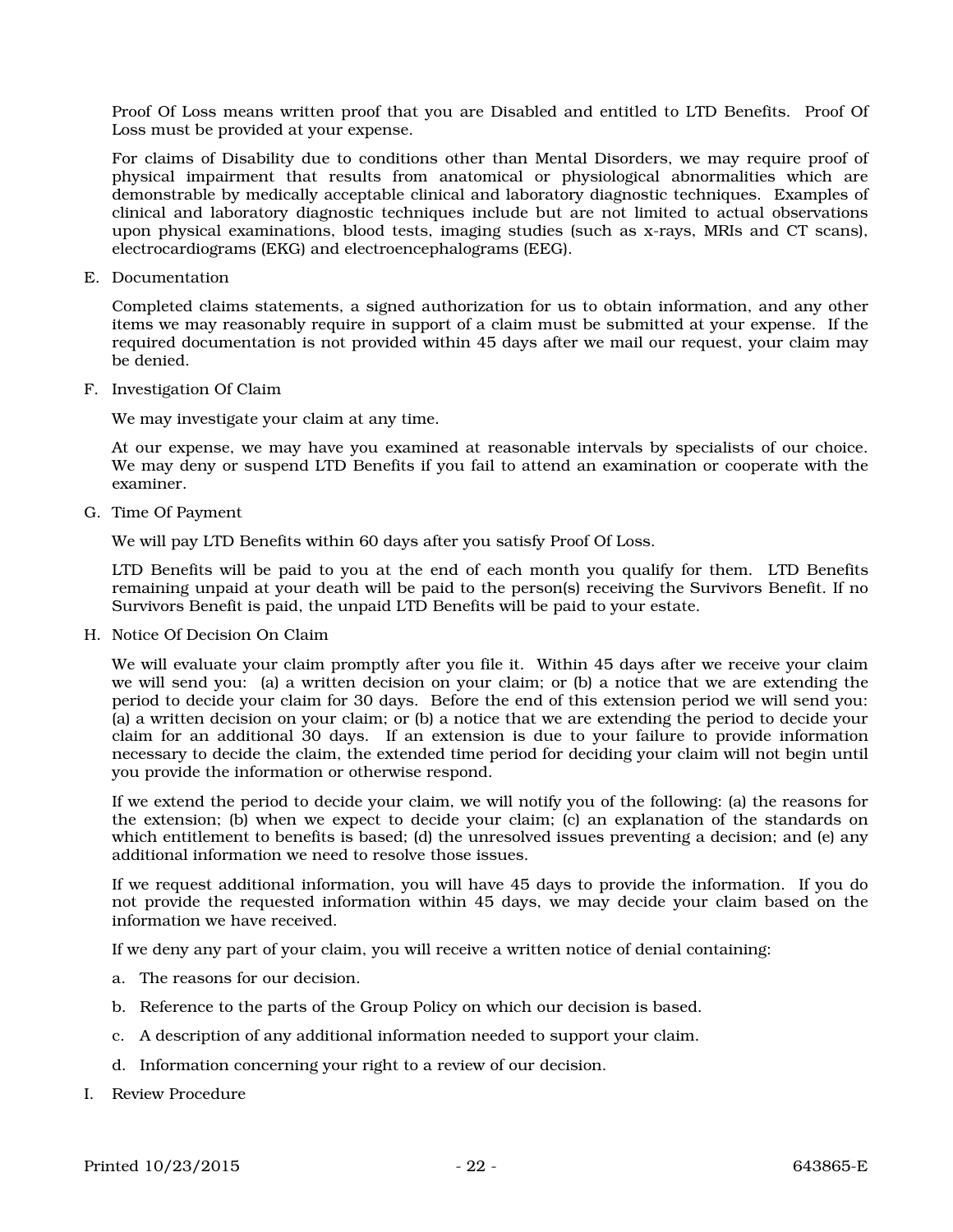Proof Of Loss means written proof that you are Disabled and entitled to LTD Benefits. Proof Of Loss must be provided at your expense.

For claims of Disability due to conditions other than Mental Disorders, we may require proof of physical impairment that results from anatomical or physiological abnormalities which are demonstrable by medically acceptable clinical and laboratory diagnostic techniques. Examples of clinical and laboratory diagnostic techniques include but are not limited to actual observations upon physical examinations, blood tests, imaging studies (such as x-rays, MRIs and CT scans), electrocardiograms (EKG) and electroencephalograms (EEG).

E. Documentation

Completed claims statements, a signed authorization for us to obtain information, and any other items we may reasonably require in support of a claim must be submitted at your expense. If the required documentation is not provided within 45 days after we mail our request, your claim may be denied.

F. Investigation Of Claim

We may investigate your claim at any time.

At our expense, we may have you examined at reasonable intervals by specialists of our choice. We may deny or suspend LTD Benefits if you fail to attend an examination or cooperate with the examiner.

G. Time Of Payment

We will pay LTD Benefits within 60 days after you satisfy Proof Of Loss.

LTD Benefits will be paid to you at the end of each month you qualify for them. LTD Benefits remaining unpaid at your death will be paid to the person(s) receiving the Survivors Benefit. If no Survivors Benefit is paid, the unpaid LTD Benefits will be paid to your estate.

H. Notice Of Decision On Claim

We will evaluate your claim promptly after you file it. Within 45 days after we receive your claim we will send you: (a) a written decision on your claim; or (b) a notice that we are extending the period to decide your claim for 30 days. Before the end of this extension period we will send you: (a) a written decision on your claim; or (b) a notice that we are extending the period to decide your claim for an additional 30 days. If an extension is due to your failure to provide information necessary to decide the claim, the extended time period for deciding your claim will not begin until you provide the information or otherwise respond.

If we extend the period to decide your claim, we will notify you of the following: (a) the reasons for the extension; (b) when we expect to decide your claim; (c) an explanation of the standards on which entitlement to benefits is based; (d) the unresolved issues preventing a decision; and (e) any additional information we need to resolve those issues.

If we request additional information, you will have 45 days to provide the information. If you do not provide the requested information within 45 days, we may decide your claim based on the information we have received.

If we deny any part of your claim, you will receive a written notice of denial containing:

- a. The reasons for our decision.
- b. Reference to the parts of the Group Policy on which our decision is based.
- c. A description of any additional information needed to support your claim.
- d. Information concerning your right to a review of our decision.
- I. Review Procedure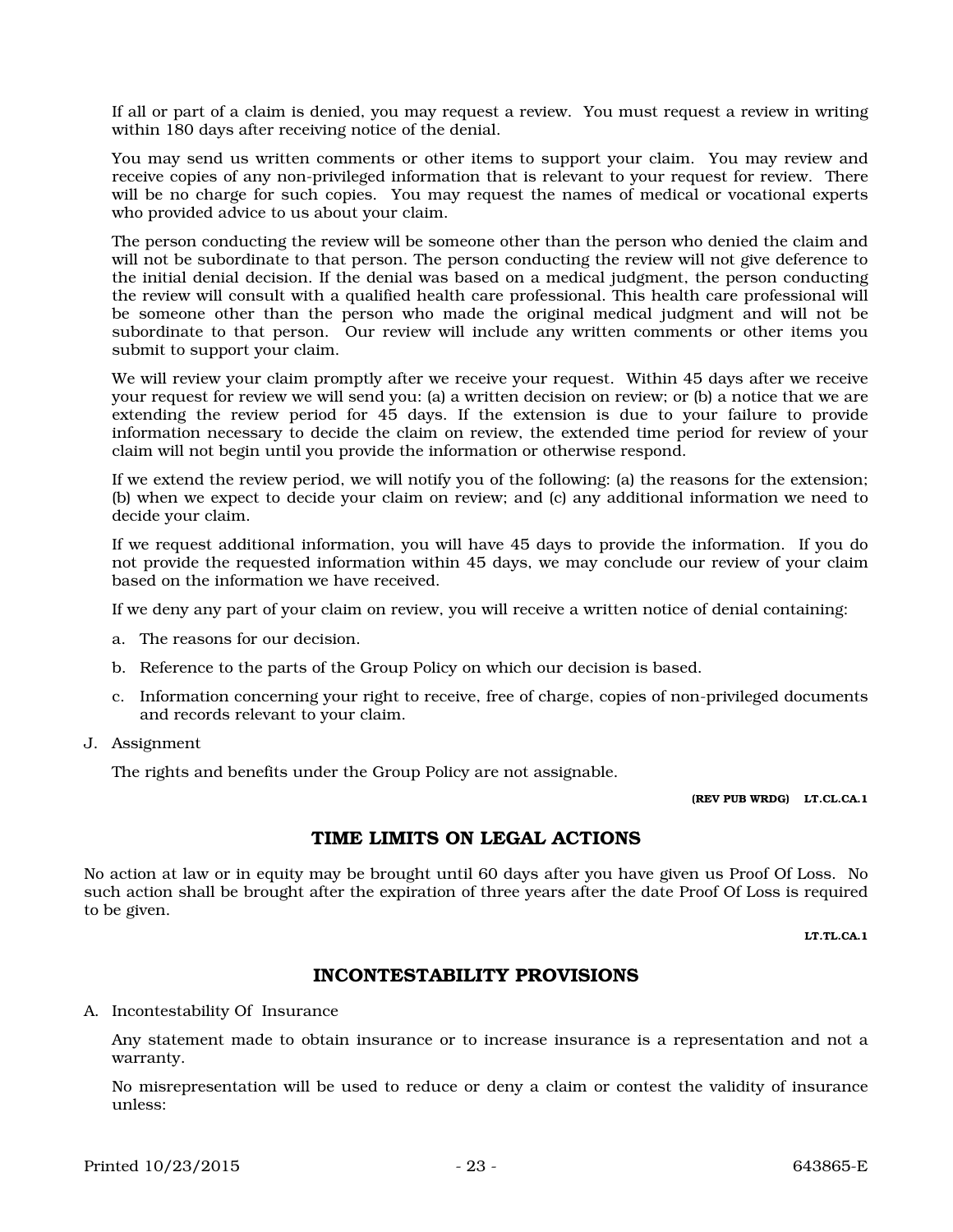If all or part of a claim is denied, you may request a review. You must request a review in writing within 180 days after receiving notice of the denial.

You may send us written comments or other items to support your claim. You may review and receive copies of any non-privileged information that is relevant to your request for review. There will be no charge for such copies. You may request the names of medical or vocational experts who provided advice to us about your claim.

The person conducting the review will be someone other than the person who denied the claim and will not be subordinate to that person. The person conducting the review will not give deference to the initial denial decision. If the denial was based on a medical judgment, the person conducting the review will consult with a qualified health care professional. This health care professional will be someone other than the person who made the original medical judgment and will not be subordinate to that person. Our review will include any written comments or other items you submit to support your claim.

We will review your claim promptly after we receive your request. Within 45 days after we receive your request for review we will send you: (a) a written decision on review; or (b) a notice that we are extending the review period for 45 days. If the extension is due to your failure to provide information necessary to decide the claim on review, the extended time period for review of your claim will not begin until you provide the information or otherwise respond.

If we extend the review period, we will notify you of the following: (a) the reasons for the extension; (b) when we expect to decide your claim on review; and (c) any additional information we need to decide your claim.

If we request additional information, you will have 45 days to provide the information. If you do not provide the requested information within 45 days, we may conclude our review of your claim based on the information we have received.

If we deny any part of your claim on review, you will receive a written notice of denial containing:

- a. The reasons for our decision.
- b. Reference to the parts of the Group Policy on which our decision is based.
- c. Information concerning your right to receive, free of charge, copies of non-privileged documents and records relevant to your claim.
- J. Assignment

The rights and benefits under the Group Policy are not assignable.

(REV PUB WRDG) LT.CL.CA.1

### TIME LIMITS ON LEGAL ACTIONS

No action at law or in equity may be brought until 60 days after you have given us Proof Of Loss. No such action shall be brought after the expiration of three years after the date Proof Of Loss is required to be given.

LT.TL.CA.1

# INCONTESTABILITY PROVISIONS

A. Incontestability Of Insurance

Any statement made to obtain insurance or to increase insurance is a representation and not a warranty.

No misrepresentation will be used to reduce or deny a claim or contest the validity of insurance unless: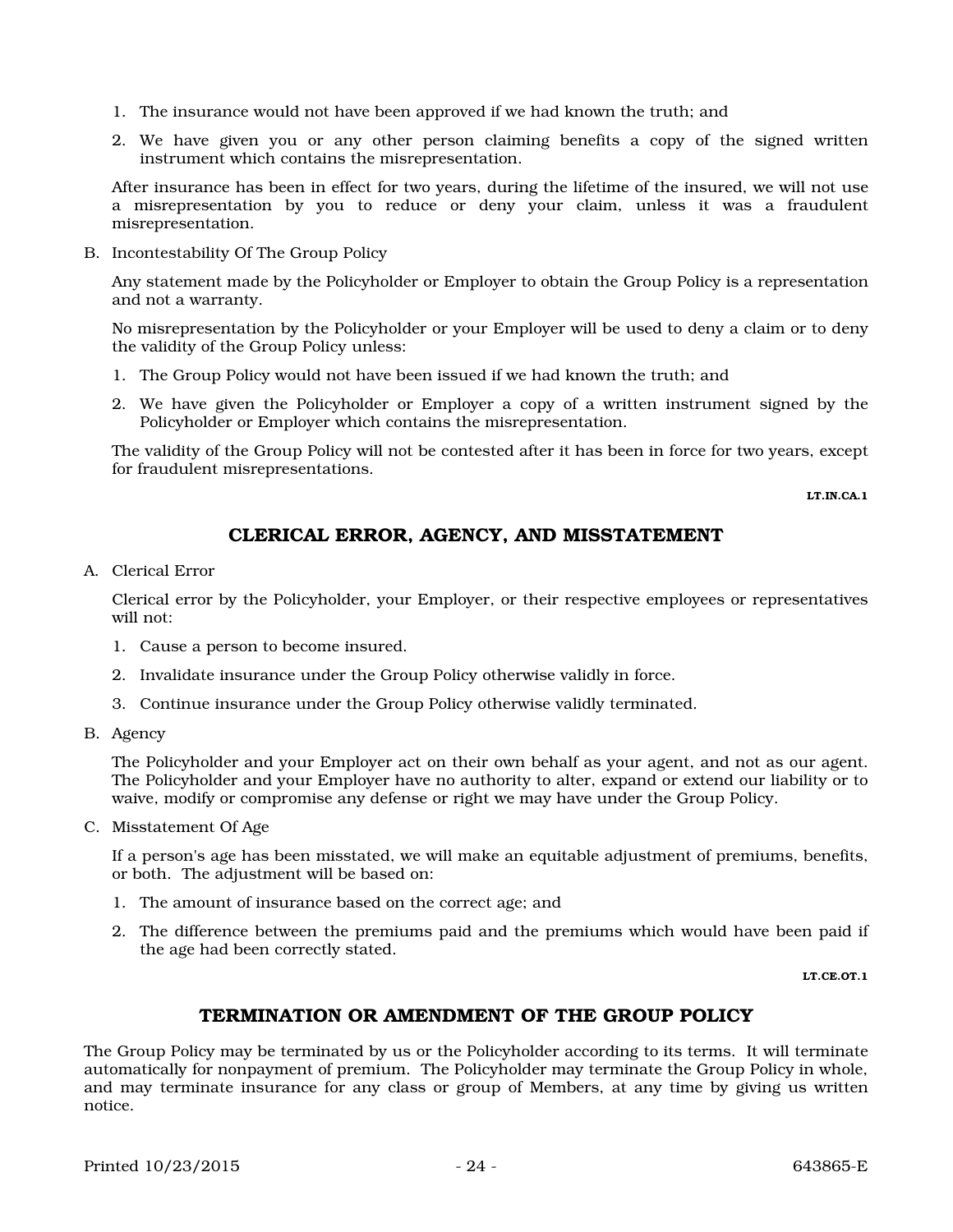- 1. The insurance would not have been approved if we had known the truth; and
- 2. We have given you or any other person claiming benefits a copy of the signed written instrument which contains the misrepresentation.

After insurance has been in effect for two years, during the lifetime of the insured, we will not use a misrepresentation by you to reduce or deny your claim, unless it was a fraudulent misrepresentation.

B. Incontestability Of The Group Policy

Any statement made by the Policyholder or Employer to obtain the Group Policy is a representation and not a warranty.

No misrepresentation by the Policyholder or your Employer will be used to deny a claim or to deny the validity of the Group Policy unless:

- 1. The Group Policy would not have been issued if we had known the truth; and
- 2. We have given the Policyholder or Employer a copy of a written instrument signed by the Policyholder or Employer which contains the misrepresentation.

The validity of the Group Policy will not be contested after it has been in force for two years, except for fraudulent misrepresentations.

LT.IN.CA.1

# CLERICAL ERROR, AGENCY, AND MISSTATEMENT

A. Clerical Error

Clerical error by the Policyholder, your Employer, or their respective employees or representatives will not:

- 1. Cause a person to become insured.
- 2. Invalidate insurance under the Group Policy otherwise validly in force.
- 3. Continue insurance under the Group Policy otherwise validly terminated.
- B. Agency

The Policyholder and your Employer act on their own behalf as your agent, and not as our agent. The Policyholder and your Employer have no authority to alter, expand or extend our liability or to waive, modify or compromise any defense or right we may have under the Group Policy.

C. Misstatement Of Age

If a person's age has been misstated, we will make an equitable adjustment of premiums, benefits, or both. The adjustment will be based on:

- 1. The amount of insurance based on the correct age; and
- 2. The difference between the premiums paid and the premiums which would have been paid if the age had been correctly stated.

LT.CE.OT.1

# TERMINATION OR AMENDMENT OF THE GROUP POLICY

The Group Policy may be terminated by us or the Policyholder according to its terms. It will terminate automatically for nonpayment of premium. The Policyholder may terminate the Group Policy in whole, and may terminate insurance for any class or group of Members, at any time by giving us written notice.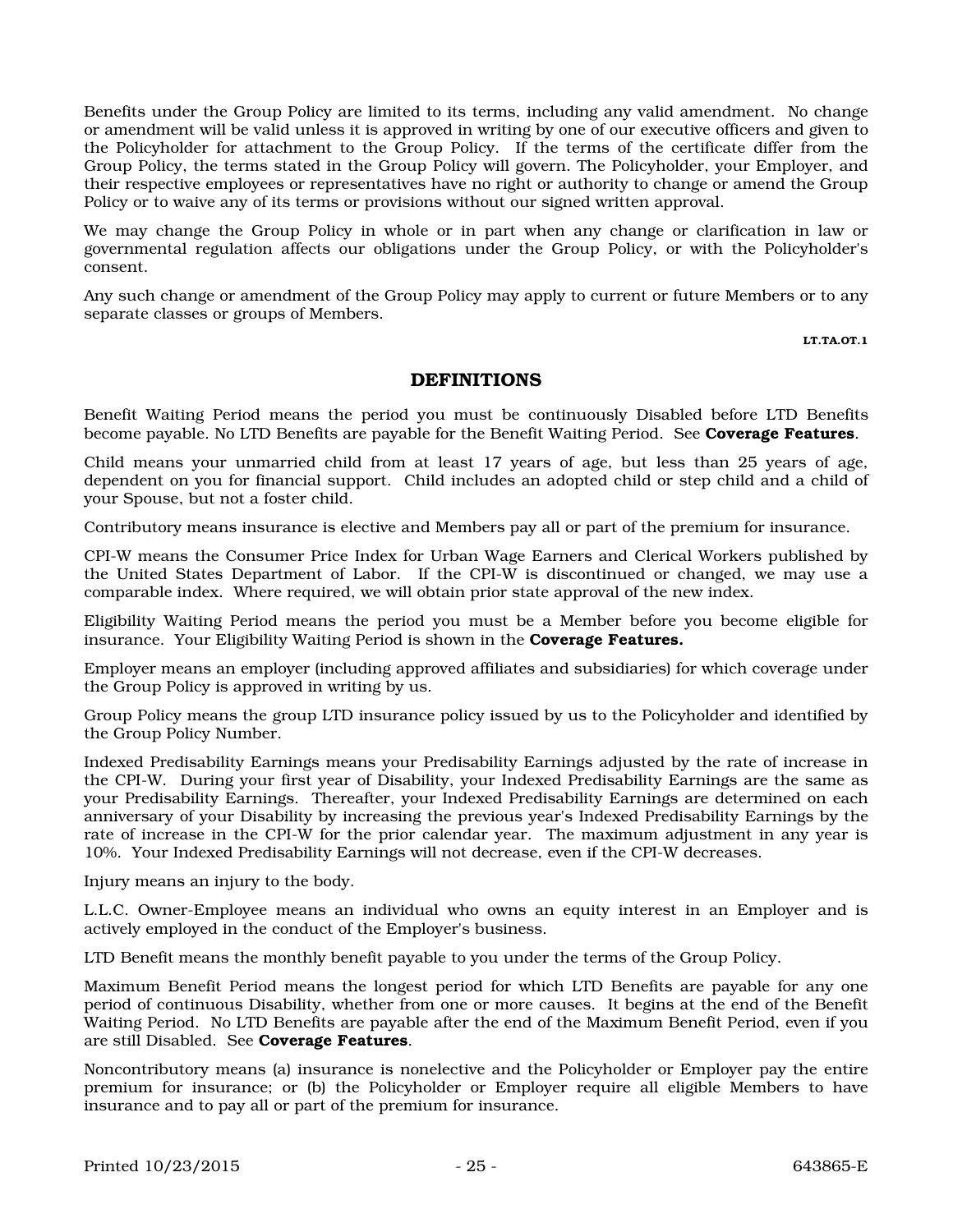Benefits under the Group Policy are limited to its terms, including any valid amendment. No change or amendment will be valid unless it is approved in writing by one of our executive officers and given to the Policyholder for attachment to the Group Policy. If the terms of the certificate differ from the Group Policy, the terms stated in the Group Policy will govern. The Policyholder, your Employer, and their respective employees or representatives have no right or authority to change or amend the Group Policy or to waive any of its terms or provisions without our signed written approval.

We may change the Group Policy in whole or in part when any change or clarification in law or governmental regulation affects our obligations under the Group Policy, or with the Policyholder's consent.

Any such change or amendment of the Group Policy may apply to current or future Members or to any separate classes or groups of Members.

LT.TA.OT.1

#### DEFINITIONS

Benefit Waiting Period means the period you must be continuously Disabled before LTD Benefits become payable. No LTD Benefits are payable for the Benefit Waiting Period. See **Coverage Features**.

Child means your unmarried child from at least 17 years of age, but less than 25 years of age, dependent on you for financial support. Child includes an adopted child or step child and a child of your Spouse, but not a foster child.

Contributory means insurance is elective and Members pay all or part of the premium for insurance.

CPI-W means the Consumer Price Index for Urban Wage Earners and Clerical Workers published by the United States Department of Labor. If the CPI-W is discontinued or changed, we may use a comparable index. Where required, we will obtain prior state approval of the new index.

Eligibility Waiting Period means the period you must be a Member before you become eligible for insurance. Your Eligibility Waiting Period is shown in the Coverage Features.

Employer means an employer (including approved affiliates and subsidiaries) for which coverage under the Group Policy is approved in writing by us.

Group Policy means the group LTD insurance policy issued by us to the Policyholder and identified by the Group Policy Number.

Indexed Predisability Earnings means your Predisability Earnings adjusted by the rate of increase in the CPI-W. During your first year of Disability, your Indexed Predisability Earnings are the same as your Predisability Earnings. Thereafter, your Indexed Predisability Earnings are determined on each anniversary of your Disability by increasing the previous year's Indexed Predisability Earnings by the rate of increase in the CPI-W for the prior calendar year. The maximum adjustment in any year is 10%. Your Indexed Predisability Earnings will not decrease, even if the CPI-W decreases.

Injury means an injury to the body.

L.L.C. Owner-Employee means an individual who owns an equity interest in an Employer and is actively employed in the conduct of the Employer's business.

LTD Benefit means the monthly benefit payable to you under the terms of the Group Policy.

Maximum Benefit Period means the longest period for which LTD Benefits are payable for any one period of continuous Disability, whether from one or more causes. It begins at the end of the Benefit Waiting Period. No LTD Benefits are payable after the end of the Maximum Benefit Period, even if you are still Disabled. See Coverage Features.

Noncontributory means (a) insurance is nonelective and the Policyholder or Employer pay the entire premium for insurance; or (b) the Policyholder or Employer require all eligible Members to have insurance and to pay all or part of the premium for insurance.